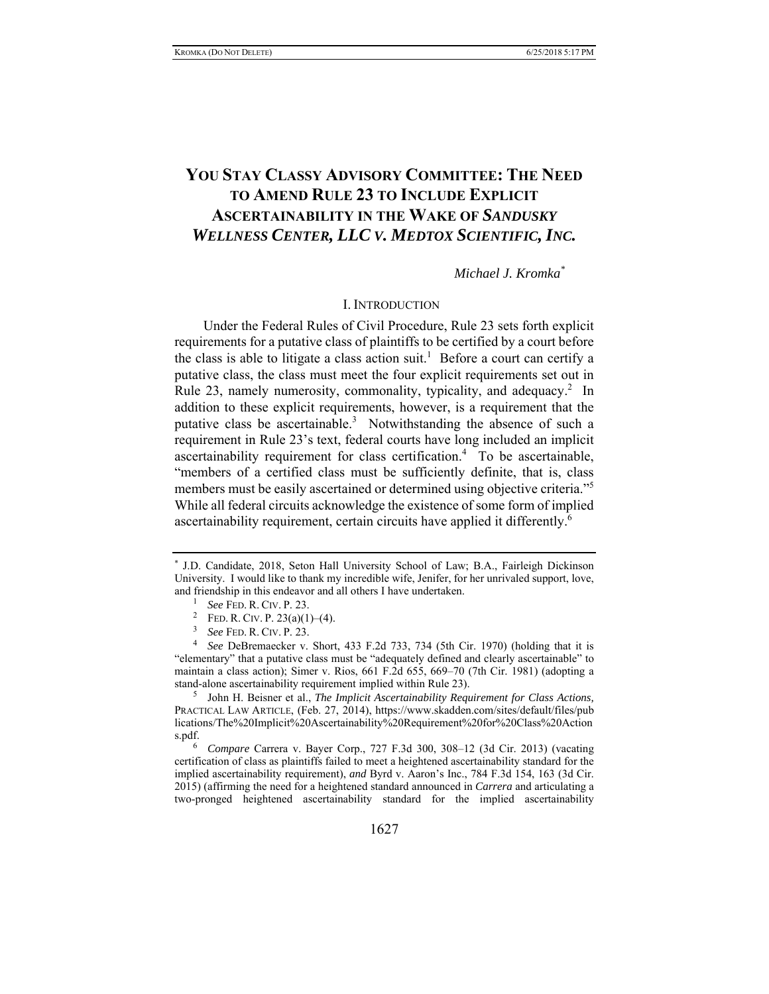# **YOU STAY CLASSY ADVISORY COMMITTEE: THE NEED TO AMEND RULE 23 TO INCLUDE EXPLICIT ASCERTAINABILITY IN THE WAKE OF** *SANDUSKY WELLNESS CENTER, LLC V. MEDTOX SCIENTIFIC, INC.*

# *Michael J. Kromka\**

#### I. INTRODUCTION

Under the Federal Rules of Civil Procedure, Rule 23 sets forth explicit requirements for a putative class of plaintiffs to be certified by a court before the class is able to litigate a class action suit.<sup>1</sup> Before a court can certify a putative class, the class must meet the four explicit requirements set out in Rule 23, namely numerosity, commonality, typicality, and adequacy.<sup>2</sup> In addition to these explicit requirements, however, is a requirement that the putative class be ascertainable.<sup>3</sup> Notwithstanding the absence of such a requirement in Rule 23's text, federal courts have long included an implicit ascertainability requirement for class certification.<sup>4</sup> To be ascertainable, "members of a certified class must be sufficiently definite, that is, class members must be easily ascertained or determined using objective criteria."<sup>5</sup> While all federal circuits acknowledge the existence of some form of implied ascertainability requirement, certain circuits have applied it differently.<sup>6</sup>

<sup>5</sup> John H. Beisner et al., *The Implicit Ascertainability Requirement for Class Actions*, PRACTICAL LAW ARTICLE, (Feb. 27, 2014), https://www.skadden.com/sites/default/files/pub lications/The%20Implicit%20Ascertainability%20Requirement%20for%20Class%20Action s.pdf.

6 *Compare* Carrera v. Bayer Corp., 727 F.3d 300, 308–12 (3d Cir. 2013) (vacating certification of class as plaintiffs failed to meet a heightened ascertainability standard for the implied ascertainability requirement), *and* Byrd v. Aaron's Inc., 784 F.3d 154, 163 (3d Cir. 2015) (affirming the need for a heightened standard announced in *Carrera* and articulating a two-pronged heightened ascertainability standard for the implied ascertainability

<sup>\*</sup> J.D. Candidate, 2018, Seton Hall University School of Law; B.A., Fairleigh Dickinson University. I would like to thank my incredible wife, Jenifer, for her unrivaled support, love, and friendship in this endeavor and all others I have undertaken.<br> $\frac{1}{2}$  See FED. R. CIV. P. 23.

<sup>&</sup>lt;sup>1</sup> *See* Fed. R. Civ. P. 23.<br><sup>2</sup> Fed. R. Civ. P. 23(a)(1)–(4).

 $^3$  *See* FED. R. CIV. P. 23.

*See* DeBremaecker v. Short, 433 F.2d 733, 734 (5th Cir. 1970) (holding that it is "elementary" that a putative class must be "adequately defined and clearly ascertainable" to maintain a class action); Simer v. Rios, 661 F.2d 655, 669–70 (7th Cir. 1981) (adopting a stand-alone ascertainability requirement implied within Rule 23).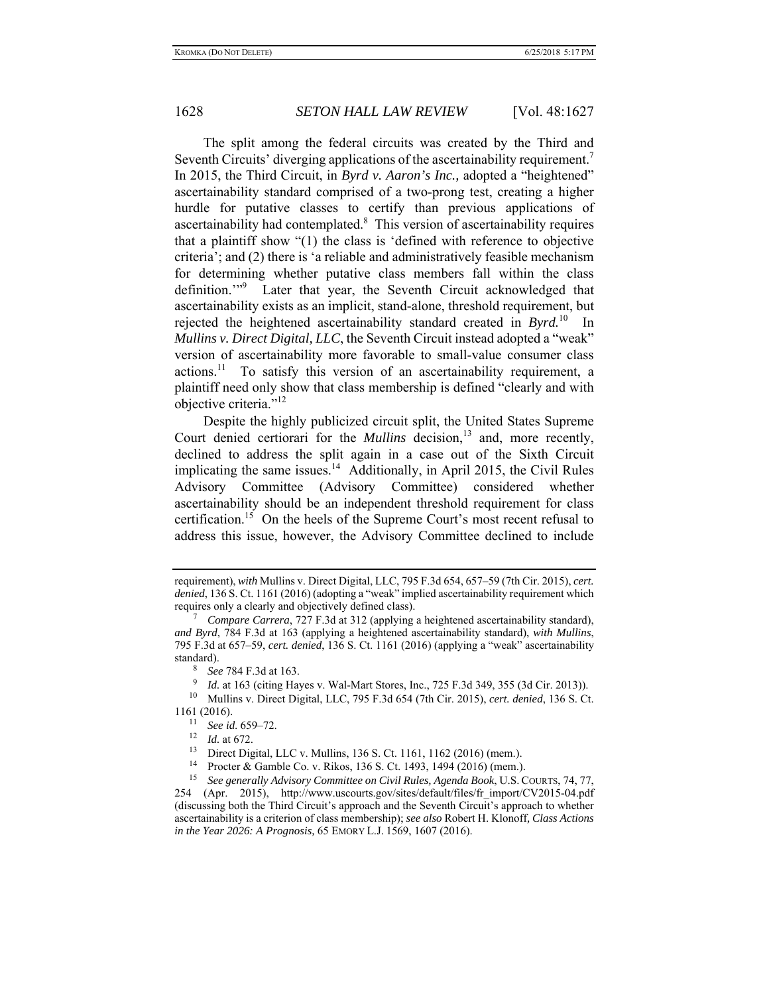The split among the federal circuits was created by the Third and Seventh Circuits' diverging applications of the ascertainability requirement.<sup>7</sup> In 2015, the Third Circuit, in *Byrd v. Aaron's Inc.,* adopted a "heightened" ascertainability standard comprised of a two-prong test, creating a higher hurdle for putative classes to certify than previous applications of ascertainability had contemplated.<sup>8</sup> This version of ascertainability requires that a plaintiff show "(1) the class is 'defined with reference to objective criteria'; and (2) there is 'a reliable and administratively feasible mechanism for determining whether putative class members fall within the class definition."<sup>9</sup> Later that year, the Seventh Circuit acknowledged that ascertainability exists as an implicit, stand-alone, threshold requirement, but rejected the heightened ascertainability standard created in *Byrd.*10 In *Mullins v. Direct Digital, LLC*, the Seventh Circuit instead adopted a "weak" version of ascertainability more favorable to small-value consumer class  $\arctan x$ <sup>11</sup> To satisfy this version of an ascertainability requirement, a plaintiff need only show that class membership is defined "clearly and with objective criteria."<sup>12</sup>

Despite the highly publicized circuit split, the United States Supreme Court denied certiorari for the *Mullins* decision,<sup>13</sup> and, more recently, declined to address the split again in a case out of the Sixth Circuit implicating the same issues. $^{14}$  Additionally, in April 2015, the Civil Rules Advisory Committee (Advisory Committee) considered whether ascertainability should be an independent threshold requirement for class certification.15 On the heels of the Supreme Court's most recent refusal to address this issue, however, the Advisory Committee declined to include

requirement), *with* Mullins v. Direct Digital, LLC, 795 F.3d 654, 657–59 (7th Cir. 2015), *cert. denied*, 136 S. Ct. 1161 (2016) (adopting a "weak" implied ascertainability requirement which requires only a clearly and objectively defined class). 7

*Compare Carrera*, 727 F.3d at 312 (applying a heightened ascertainability standard), *and Byrd*, 784 F.3d at 163 (applying a heightened ascertainability standard), *with Mullins*, 795 F.3d at 657–59, *cert. denied*, 136 S. Ct. 1161 (2016) (applying a "weak" ascertainability standard).

<sup>8</sup> *See* 784 F.3d at 163.

<sup>9</sup> *Id.* at 163 (citing Hayes v. Wal-Mart Stores, Inc., 725 F.3d 349, 355 (3d Cir. 2013)).

<sup>10</sup> Mullins v. Direct Digital, LLC, 795 F.3d 654 (7th Cir. 2015), *cert. denied*, 136 S. Ct. 1161 (2016). 11 *See id*. 659–72. 12 *Id.* at 672.

<sup>&</sup>lt;sup>13</sup> Direct Digital, LLC v. Mullins, 136 S. Ct. 1161, 1162 (2016) (mem.).<br><sup>14</sup> Procter & Gamble Co. v. Rikos, 136 S. Ct. 1493, 1494 (2016) (mem.).

<sup>15</sup> *See generally Advisory Committee on Civil Rules, Agenda Book*, U.S. COURTS, 74, 77, 254 (Apr. 2015), http://www.uscourts.gov/sites/default/files/fr\_import/CV2015-04.pdf (discussing both the Third Circuit's approach and the Seventh Circuit's approach to whether ascertainability is a criterion of class membership); *see also* Robert H. Klonoff*, Class Actions in the Year 2026: A Prognosis,* 65 EMORY L.J. 1569, 1607 (2016).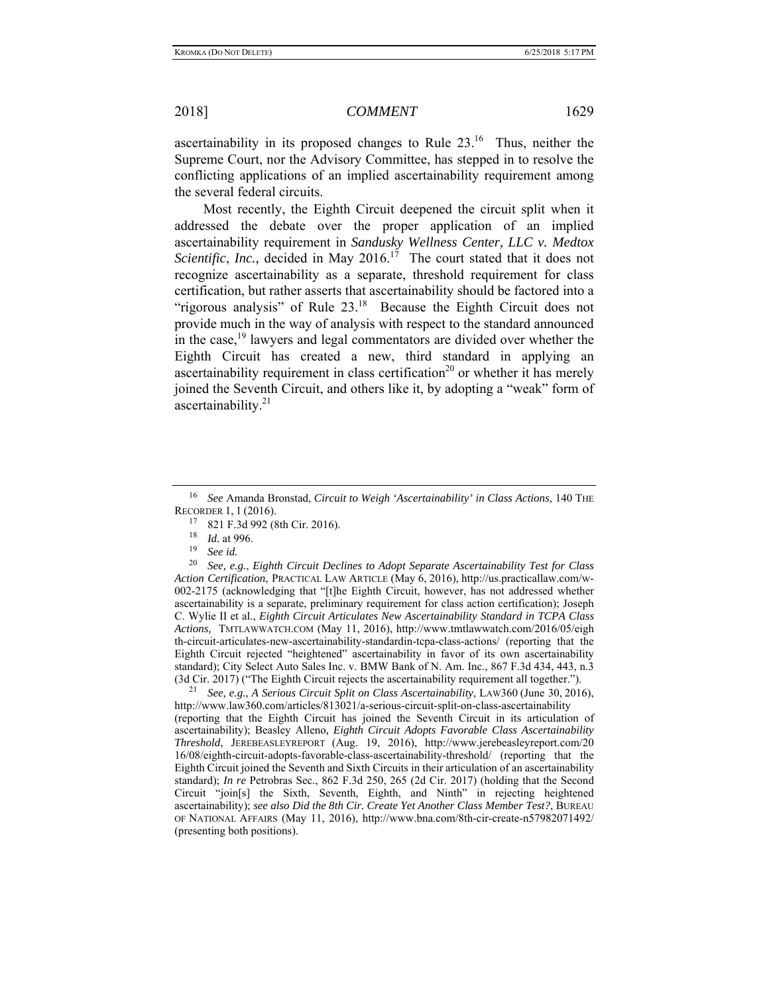ascertainability in its proposed changes to Rule  $23<sup>16</sup>$  Thus, neither the Supreme Court, nor the Advisory Committee, has stepped in to resolve the conflicting applications of an implied ascertainability requirement among the several federal circuits.

Most recently, the Eighth Circuit deepened the circuit split when it addressed the debate over the proper application of an implied ascertainability requirement in *Sandusky Wellness Center, LLC v. Medtox Scientific, Inc.,* decided in May 2016.<sup>17</sup> The court stated that it does not recognize ascertainability as a separate, threshold requirement for class certification, but rather asserts that ascertainability should be factored into a "rigorous analysis" of Rule  $23<sup>18</sup>$  Because the Eighth Circuit does not provide much in the way of analysis with respect to the standard announced in the case,  $19$  lawyers and legal commentators are divided over whether the Eighth Circuit has created a new, third standard in applying an ascertainability requirement in class certification<sup>20</sup> or whether it has merely joined the Seventh Circuit, and others like it, by adopting a "weak" form of ascertainability.<sup>21</sup>

20 *See, e.g.*, *Eighth Circuit Declines to Adopt Separate Ascertainability Test for Class Action Certification*, PRACTICAL LAW ARTICLE (May 6, 2016), http://us.practicallaw.com/w-002-2175 (acknowledging that "[t]he Eighth Circuit, however, has not addressed whether ascertainability is a separate, preliminary requirement for class action certification); Joseph C. Wylie II et al., *Eighth Circuit Articulates New Ascertainability Standard in TCPA Class Actions,* TMTLAWWATCH.COM (May 11, 2016), http://www.tmtlawwatch.com/2016/05/eigh th-circuit-articulates-new-ascertainability-standardin-tcpa-class-actions/ (reporting that the Eighth Circuit rejected "heightened" ascertainability in favor of its own ascertainability standard); City Select Auto Sales Inc. v. BMW Bank of N. Am. Inc., 867 F.3d 434, 443, n.3 (3d Cir. 2017) ("The Eighth Circuit rejects the ascertainability requirement all together."). 21 *See, e.g.*, *A Serious Circuit Split on Class Ascertainability*, LAW360 (June 30, 2016),

http://www.law360.com/articles/813021/a-serious-circuit-split-on-class-ascertainability (reporting that the Eighth Circuit has joined the Seventh Circuit in its articulation of ascertainability); Beasley Alleno*, Eighth Circuit Adopts Favorable Class Ascertainability Threshold*, JEREBEASLEYREPORT (Aug. 19, 2016), http://www.jerebeasleyreport.com/20 16/08/eighth-circuit-adopts-favorable-class-ascertainability-threshold/ (reporting that the Eighth Circuit joined the Seventh and Sixth Circuits in their articulation of an ascertainability standard); *In re* Petrobras Sec., 862 F.3d 250, 265 (2d Cir. 2017) (holding that the Second Circuit "join[s] the Sixth, Seventh, Eighth, and Ninth" in rejecting heightened ascertainability); *see also Did the 8th Cir. Create Yet Another Class Member Test?*, BUREAU OF NATIONAL AFFAIRS (May 11, 2016), http://www.bna.com/8th-cir-create-n57982071492/ (presenting both positions).

<sup>16</sup> *See* Amanda Bronstad, *Circuit to Weigh 'Ascertainability' in Class Actions*, 140 THE RECORDER 1, 1 (2016).

 $^{17}$  821 F.3d 992 (8th Cir. 2016).

 $\frac{18}{19}$  *Id.* at 996.

See *id.*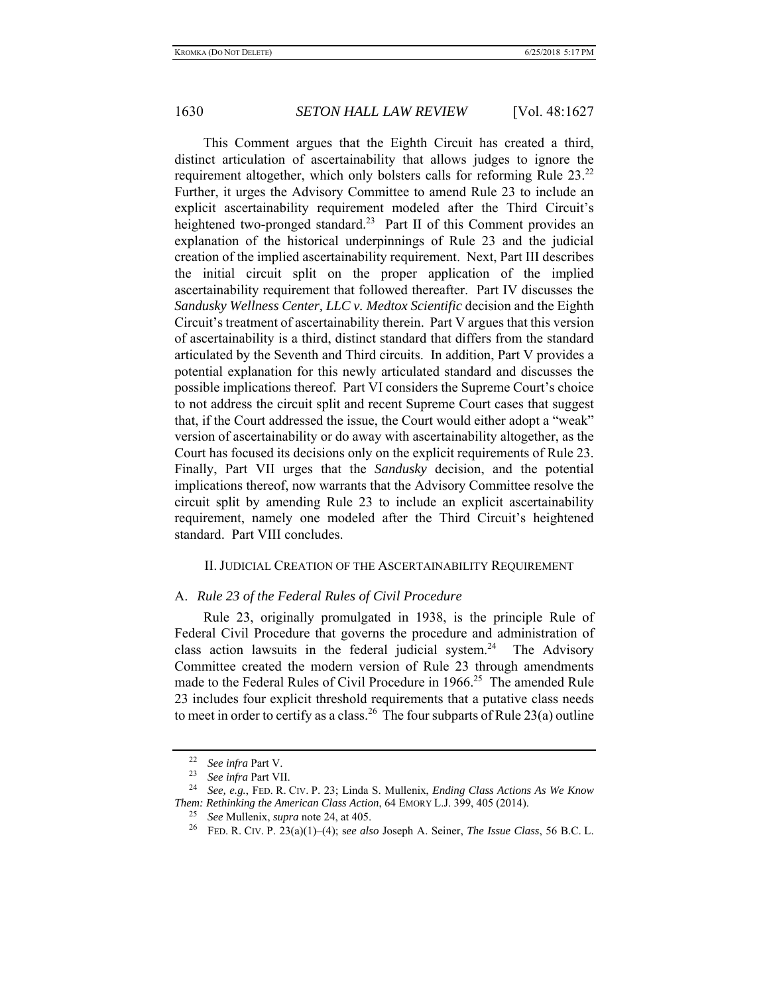This Comment argues that the Eighth Circuit has created a third, distinct articulation of ascertainability that allows judges to ignore the requirement altogether, which only bolsters calls for reforming Rule  $23.^{22}$ Further, it urges the Advisory Committee to amend Rule 23 to include an explicit ascertainability requirement modeled after the Third Circuit's heightened two-pronged standard.<sup>23</sup> Part II of this Comment provides an explanation of the historical underpinnings of Rule 23 and the judicial creation of the implied ascertainability requirement. Next, Part III describes the initial circuit split on the proper application of the implied ascertainability requirement that followed thereafter. Part IV discusses the *Sandusky Wellness Center, LLC v. Medtox Scientific* decision and the Eighth Circuit's treatment of ascertainability therein. Part V argues that this version of ascertainability is a third, distinct standard that differs from the standard articulated by the Seventh and Third circuits. In addition, Part V provides a potential explanation for this newly articulated standard and discusses the possible implications thereof. Part VI considers the Supreme Court's choice to not address the circuit split and recent Supreme Court cases that suggest that, if the Court addressed the issue, the Court would either adopt a "weak" version of ascertainability or do away with ascertainability altogether, as the Court has focused its decisions only on the explicit requirements of Rule 23. Finally, Part VII urges that the *Sandusky* decision, and the potential implications thereof, now warrants that the Advisory Committee resolve the circuit split by amending Rule 23 to include an explicit ascertainability requirement, namely one modeled after the Third Circuit's heightened standard. Part VIII concludes.

#### II.JUDICIAL CREATION OF THE ASCERTAINABILITY REQUIREMENT

#### A. *Rule 23 of the Federal Rules of Civil Procedure*

Rule 23, originally promulgated in 1938, is the principle Rule of Federal Civil Procedure that governs the procedure and administration of class action lawsuits in the federal judicial system.<sup>24</sup> The Advisory Committee created the modern version of Rule 23 through amendments made to the Federal Rules of Civil Procedure in 1966.<sup>25</sup> The amended Rule 23 includes four explicit threshold requirements that a putative class needs to meet in order to certify as a class.<sup>26</sup> The four subparts of Rule 23(a) outline

<sup>22</sup> *See infra* Part V.

<sup>23</sup>*See infra* Part VII. 24 *See, e.g.*, FED. R. CIV. P. 23; Linda S. Mullenix, *Ending Class Actions As We Know Them: Rethinking the American Class Action*, 64 EMORY L.J. 399, 405 (2014).

<sup>25</sup> *See* Mullenix, *supra* note 24, at 405.

<sup>26</sup> FED. R. CIV. P. 23(a)(1)–(4); s*ee also* Joseph A. Seiner, *The Issue Class*, 56 B.C. L.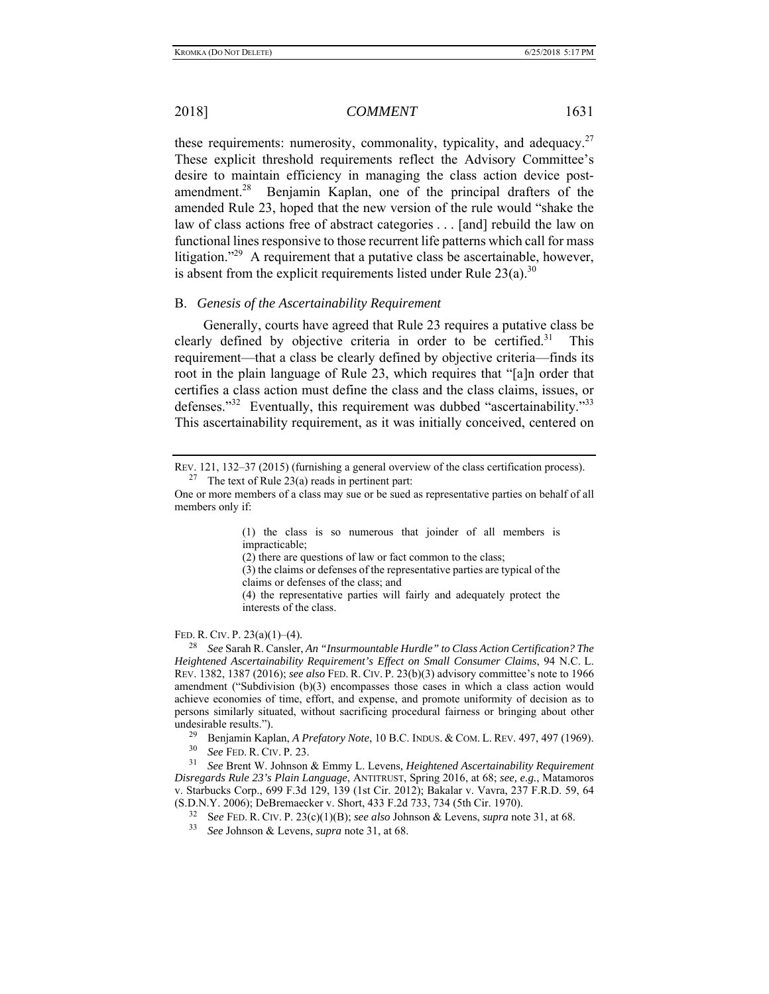these requirements: numerosity, commonality, typicality, and adequacy.<sup>27</sup> These explicit threshold requirements reflect the Advisory Committee's desire to maintain efficiency in managing the class action device postamendment.<sup>28</sup> Benjamin Kaplan, one of the principal drafters of the amended Rule 23, hoped that the new version of the rule would "shake the law of class actions free of abstract categories . . . [and] rebuild the law on functional lines responsive to those recurrent life patterns which call for mass litigation."<sup>29</sup> A requirement that a putative class be ascertainable, however, is absent from the explicit requirements listed under Rule  $23(a)$ .<sup>30</sup>

# B. *Genesis of the Ascertainability Requirement*

Generally, courts have agreed that Rule 23 requires a putative class be clearly defined by objective criteria in order to be certified.<sup>31</sup> This requirement—that a class be clearly defined by objective criteria—finds its root in the plain language of Rule 23, which requires that "[a]n order that certifies a class action must define the class and the class claims, issues, or defenses."<sup>32</sup> Eventually, this requirement was dubbed "ascertainability."<sup>33</sup> This ascertainability requirement, as it was initially conceived, centered on

(1) the class is so numerous that joinder of all members is impracticable;

(2) there are questions of law or fact common to the class;

(3) the claims or defenses of the representative parties are typical of the claims or defenses of the class; and

(4) the representative parties will fairly and adequately protect the interests of the class.

#### FED. R. CIV. P. 23(a)(1)–(4).

28 *See* Sarah R. Cansler, *An "Insurmountable Hurdle" to Class Action Certification? The Heightened Ascertainability Requirement's Effect on Small Consumer Claims*, 94 N.C. L. REV. 1382, 1387 (2016); *see also* FED. R. CIV. P. 23(b)(3) advisory committee's note to 1966 amendment ("Subdivision (b)(3) encompasses those cases in which a class action would achieve economies of time, effort, and expense, and promote uniformity of decision as to persons similarly situated, without sacrificing procedural fairness or bringing about other undesirable results.").

<sup>29</sup> Benjamin Kaplan, *A Prefatory Note*, 10 B.C. INDUS. & COM. L. REV. 497, 497 (1969).

30 *See* FED. R. CIV. P. 23.

31 *See* Brent W. Johnson & Emmy L. Levens*, Heightened Ascertainability Requirement Disregards Rule 23's Plain Language*, ANTITRUST, Spring 2016, at 68; *see, e.g.*, Matamoros v. Starbucks Corp., 699 F.3d 129, 139 (1st Cir. 2012); Bakalar v. Vavra, 237 F.R.D. 59, 64 (S.D.N.Y. 2006); DeBremaecker v. Short, 433 F.2d 733, 734 (5th Cir. 1970).

32 S*ee* FED. R. CIV. P. 23(c)(1)(B); *see also* Johnson & Levens, *supra* note 31, at 68.

33 *See* Johnson & Levens, *supra* note 31, at 68.

REV. 121, 132–37 (2015) (furnishing a general overview of the class certification process). <sup>27</sup> The text of Rule 23(a) reads in pertinent part:

One or more members of a class may sue or be sued as representative parties on behalf of all members only if: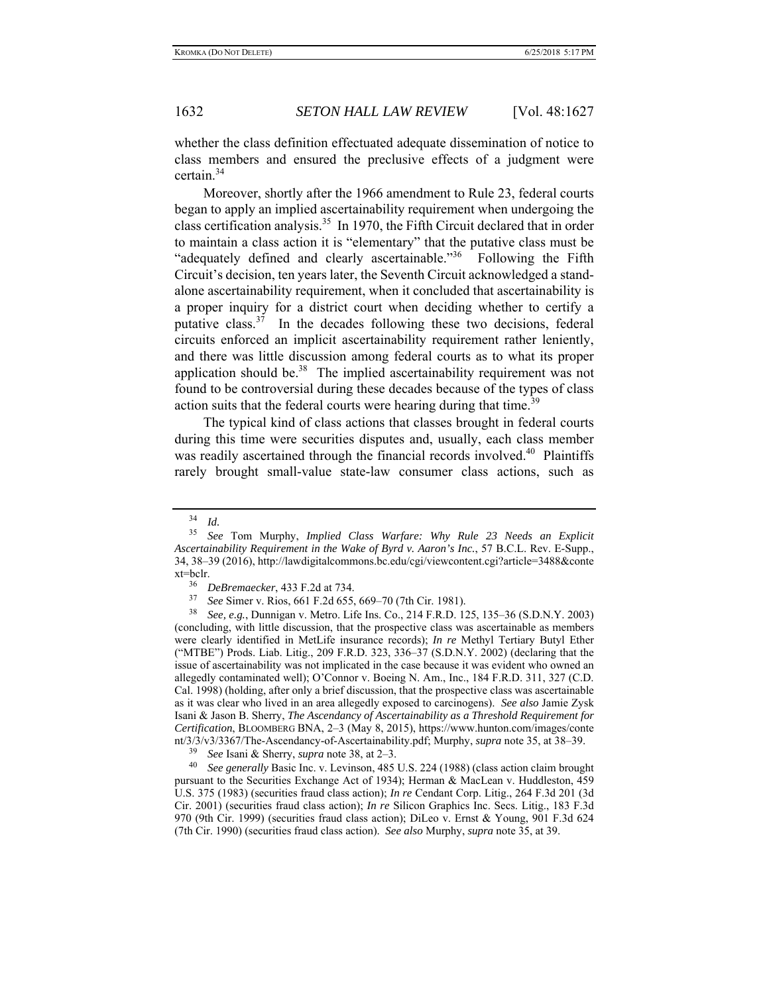whether the class definition effectuated adequate dissemination of notice to class members and ensured the preclusive effects of a judgment were certain.<sup>34</sup>

Moreover, shortly after the 1966 amendment to Rule 23, federal courts began to apply an implied ascertainability requirement when undergoing the class certification analysis.<sup>35</sup> In 1970, the Fifth Circuit declared that in order to maintain a class action it is "elementary" that the putative class must be "adequately defined and clearly ascertainable."<sup>36</sup> Following the Fifth Circuit's decision, ten years later, the Seventh Circuit acknowledged a standalone ascertainability requirement, when it concluded that ascertainability is a proper inquiry for a district court when deciding whether to certify a putative class.<sup>37</sup> In the decades following these two decisions, federal circuits enforced an implicit ascertainability requirement rather leniently, and there was little discussion among federal courts as to what its proper application should be.<sup>38</sup> The implied ascertainability requirement was not found to be controversial during these decades because of the types of class action suits that the federal courts were hearing during that time.<sup>39</sup>

The typical kind of class actions that classes brought in federal courts during this time were securities disputes and, usually, each class member was readily ascertained through the financial records involved.<sup>40</sup> Plaintiffs rarely brought small-value state-law consumer class actions, such as

<sup>34</sup> *Id.*

<sup>35</sup> *See* Tom Murphy, *Implied Class Warfare: Why Rule 23 Needs an Explicit Ascertainability Requirement in the Wake of Byrd v. Aaron's Inc.*, 57 B.C.L. Rev. E-Supp., 34, 38–39 (2016), http://lawdigitalcommons.bc.edu/cgi/viewcontent.cgi?article=3488&conte  $xt = \text{bclr.}$ 

<sup>&</sup>lt;sup>36</sup> *DeBremaecker*, 433 F.2d at 734.<br><sup>37</sup> See Simony, Dies, 661 E.2d 655.

<sup>37</sup> *See* Simer v. Rios, 661 F.2d 655, 669–70 (7th Cir. 1981).

<sup>38</sup> *See, e.g.*, Dunnigan v. Metro. Life Ins. Co., 214 F.R.D. 125, 135–36 (S.D.N.Y. 2003) (concluding, with little discussion, that the prospective class was ascertainable as members were clearly identified in MetLife insurance records); *In re* Methyl Tertiary Butyl Ether ("MTBE") Prods. Liab. Litig., 209 F.R.D. 323, 336–37 (S.D.N.Y. 2002) (declaring that the issue of ascertainability was not implicated in the case because it was evident who owned an allegedly contaminated well); O'Connor v. Boeing N. Am., Inc., 184 F.R.D. 311, 327 (C.D. Cal. 1998) (holding, after only a brief discussion, that the prospective class was ascertainable as it was clear who lived in an area allegedly exposed to carcinogens). *See also* Jamie Zysk Isani & Jason B. Sherry, *The Ascendancy of Ascertainability as a Threshold Requirement for Certification*, BLOOMBERG BNA, 2–3 (May 8, 2015), https://www.hunton.com/images/conte nt/3/3/v3/3367/The-Ascendancy-of-Ascertainability.pdf; Murphy, *supra* note 35, at 38–39.

<sup>39</sup> *See* Isani & Sherry, *supra* note 38, at 2–3.

<sup>40</sup> *See generally* Basic Inc. v. Levinson, 485 U.S. 224 (1988) (class action claim brought pursuant to the Securities Exchange Act of 1934); Herman & MacLean v. Huddleston, 459 U.S. 375 (1983) (securities fraud class action); *In re* Cendant Corp. Litig., 264 F.3d 201 (3d Cir. 2001) (securities fraud class action); *In re* Silicon Graphics Inc. Secs. Litig., 183 F.3d 970 (9th Cir. 1999) (securities fraud class action); DiLeo v. Ernst & Young, 901 F.3d 624 (7th Cir. 1990) (securities fraud class action). *See also* Murphy, *supra* note 35, at 39.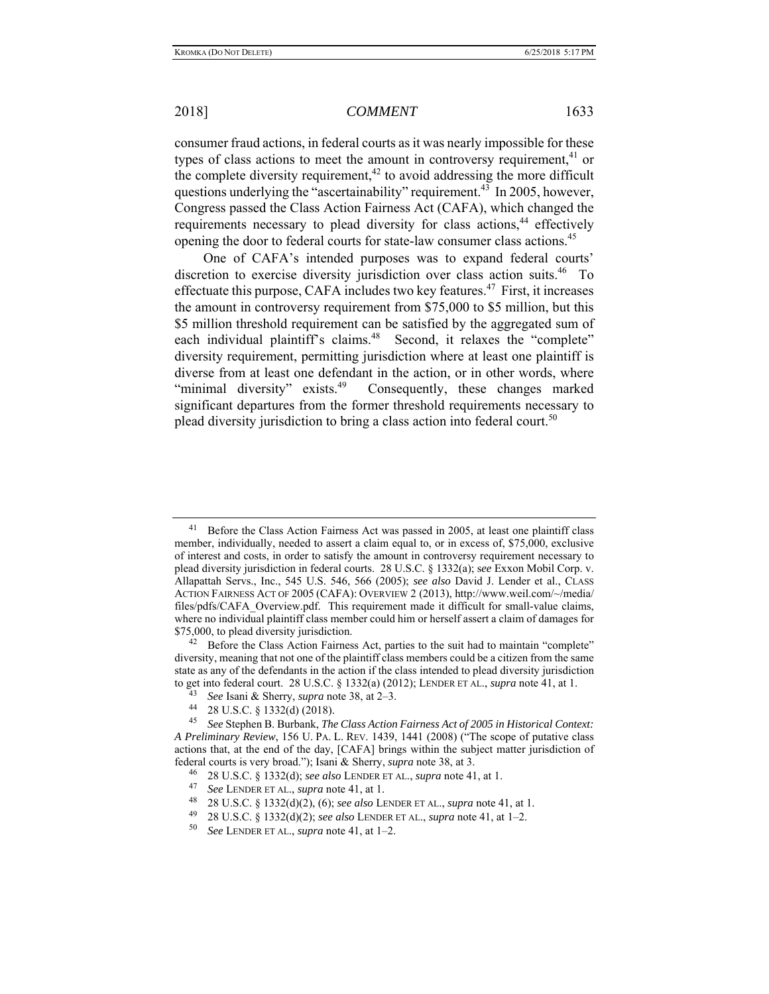consumer fraud actions, in federal courts as it was nearly impossible for these types of class actions to meet the amount in controversy requirement,  $41$  or the complete diversity requirement,<sup> $42$ </sup> to avoid addressing the more difficult questions underlying the "ascertainability" requirement.<sup>43</sup> In 2005, however, Congress passed the Class Action Fairness Act (CAFA), which changed the requirements necessary to plead diversity for class actions,  $44$  effectively opening the door to federal courts for state-law consumer class actions.<sup>45</sup>

One of CAFA's intended purposes was to expand federal courts' discretion to exercise diversity jurisdiction over class action suits.<sup>46</sup> To effectuate this purpose, CAFA includes two key features.<sup>47</sup> First, it increases the amount in controversy requirement from \$75,000 to \$5 million, but this \$5 million threshold requirement can be satisfied by the aggregated sum of each individual plaintiff's claims.<sup>48</sup> Second, it relaxes the "complete" diversity requirement, permitting jurisdiction where at least one plaintiff is diverse from at least one defendant in the action, or in other words, where "minimal diversity" exists.<sup>49</sup> Consequently, these changes marked significant departures from the former threshold requirements necessary to plead diversity jurisdiction to bring a class action into federal court.<sup>50</sup>

48 28 U.S.C. § 1332(d)(2), (6); *see also* LENDER ET AL., *supra* note 41, at 1.

 $41$  Before the Class Action Fairness Act was passed in 2005, at least one plaintiff class member, individually, needed to assert a claim equal to, or in excess of, \$75,000, exclusive of interest and costs, in order to satisfy the amount in controversy requirement necessary to plead diversity jurisdiction in federal courts. 28 U.S.C. § 1332(a); s*ee* Exxon Mobil Corp. v. Allapattah Servs., Inc., 545 U.S. 546, 566 (2005); *see also* David J. Lender et al., CLASS ACTION FAIRNESS ACT OF 2005 (CAFA): OVERVIEW 2 (2013), http://www.weil.com/~/media/ files/pdfs/CAFA\_Overview.pdf. This requirement made it difficult for small-value claims, where no individual plaintiff class member could him or herself assert a claim of damages for \$75,000, to plead diversity jurisdiction.<br><sup>42</sup> Before the Class Action Fairness Act, parties to the suit had to maintain "complete"

diversity, meaning that not one of the plaintiff class members could be a citizen from the same state as any of the defendants in the action if the class intended to plead diversity jurisdiction to get into federal court. 28 U.S.C. § 1332(a) (2012); LENDER ET AL., *supra* note 41, at 1.

<sup>43</sup>*See* Isani & Sherry, *supra* note 38, at 2–3. 44 28 U.S.C. § 1332(d) (2018).

<sup>45</sup> *See* Stephen B. Burbank, *The Class Action Fairness Act of 2005 in Historical Context: A Preliminary Review*, 156 U. PA. L. REV. 1439, 1441 (2008) ("The scope of putative class actions that, at the end of the day, [CAFA] brings within the subject matter jurisdiction of federal courts is very broad."); Isani & Sherry, *supra* note 38, at 3.

<sup>46 28</sup> U.S.C. § 1332(d); *see also* LENDER ET AL., *supra* note 41, at 1.

<sup>47</sup> *See* LENDER ET AL., *supra* note 41, at 1.

<sup>49 28</sup> U.S.C. § 1332(d)(2); *see also* LENDER ET AL., *supra* note 41, at 1–2.

<sup>50</sup> *See* LENDER ET AL., *supra* note 41, at 1–2.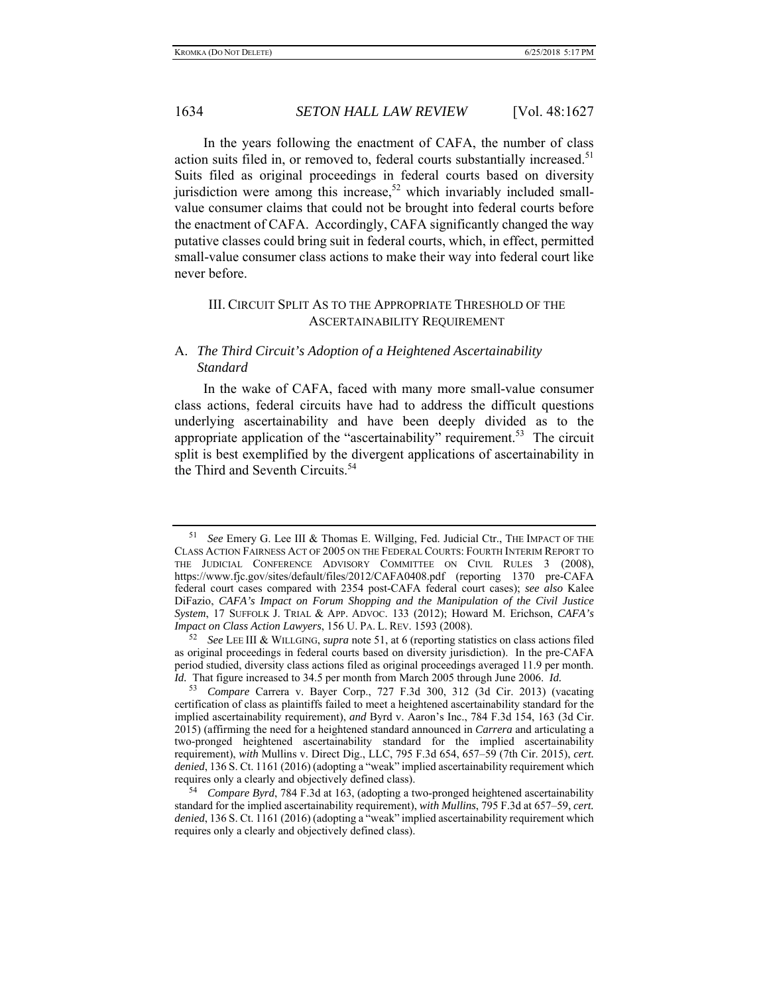In the years following the enactment of CAFA, the number of class action suits filed in, or removed to, federal courts substantially increased.<sup>51</sup> Suits filed as original proceedings in federal courts based on diversity jurisdiction were among this increase,<sup>52</sup> which invariably included smallvalue consumer claims that could not be brought into federal courts before the enactment of CAFA. Accordingly, CAFA significantly changed the way putative classes could bring suit in federal courts, which, in effect, permitted small-value consumer class actions to make their way into federal court like never before.

# III. CIRCUIT SPLIT AS TO THE APPROPRIATE THRESHOLD OF THE ASCERTAINABILITY REQUIREMENT

# A. *The Third Circuit's Adoption of a Heightened Ascertainability Standard*

In the wake of CAFA, faced with many more small-value consumer class actions, federal circuits have had to address the difficult questions underlying ascertainability and have been deeply divided as to the appropriate application of the "ascertainability" requirement.<sup>53</sup> The circuit split is best exemplified by the divergent applications of ascertainability in the Third and Seventh Circuits.<sup>54</sup>

<sup>51</sup> *See* Emery G. Lee III & Thomas E. Willging, Fed. Judicial Ctr., THE IMPACT OF THE CLASS ACTION FAIRNESS ACT OF 2005 ON THE FEDERAL COURTS: FOURTH INTERIM REPORT TO THE JUDICIAL CONFERENCE ADVISORY COMMITTEE ON CIVIL RULES 3 (2008), https://www.fjc.gov/sites/default/files/2012/CAFA0408.pdf (reporting 1370 pre-CAFA federal court cases compared with 2354 post-CAFA federal court cases); *see also* Kalee DiFazio, *CAFA's Impact on Forum Shopping and the Manipulation of the Civil Justice System*, 17 SUFFOLK J. TRIAL & APP. ADVOC. 133 (2012); Howard M. Erichson, *CAFA's Impact on Class Action Lawyers*, 156 U. PA. L. REV. 1593 (2008).

<sup>52</sup> *See* LEE III & WILLGING, *supra* note 51, at 6 (reporting statistics on class actions filed as original proceedings in federal courts based on diversity jurisdiction). In the pre-CAFA period studied, diversity class actions filed as original proceedings averaged 11.9 per month. *Id.* That figure increased to 34.5 per month from March 2005 through June 2006. *Id.*

<sup>53</sup> *Compare* Carrera v. Bayer Corp., 727 F.3d 300, 312 (3d Cir. 2013) (vacating certification of class as plaintiffs failed to meet a heightened ascertainability standard for the implied ascertainability requirement), *and* Byrd v. Aaron's Inc., 784 F.3d 154, 163 (3d Cir. 2015) (affirming the need for a heightened standard announced in *Carrera* and articulating a two-pronged heightened ascertainability standard for the implied ascertainability requirement), *with* Mullins v. Direct Dig., LLC, 795 F.3d 654, 657–59 (7th Cir. 2015), *cert. denied*, 136 S. Ct. 1161 (2016) (adopting a "weak" implied ascertainability requirement which requires only a clearly and objectively defined class).

<sup>54</sup> *Compare Byrd*, 784 F.3d at 163, (adopting a two-pronged heightened ascertainability standard for the implied ascertainability requirement), *with Mullins*, 795 F.3d at 657–59, *cert. denied*, 136 S. Ct. 1161 (2016) (adopting a "weak" implied ascertainability requirement which requires only a clearly and objectively defined class).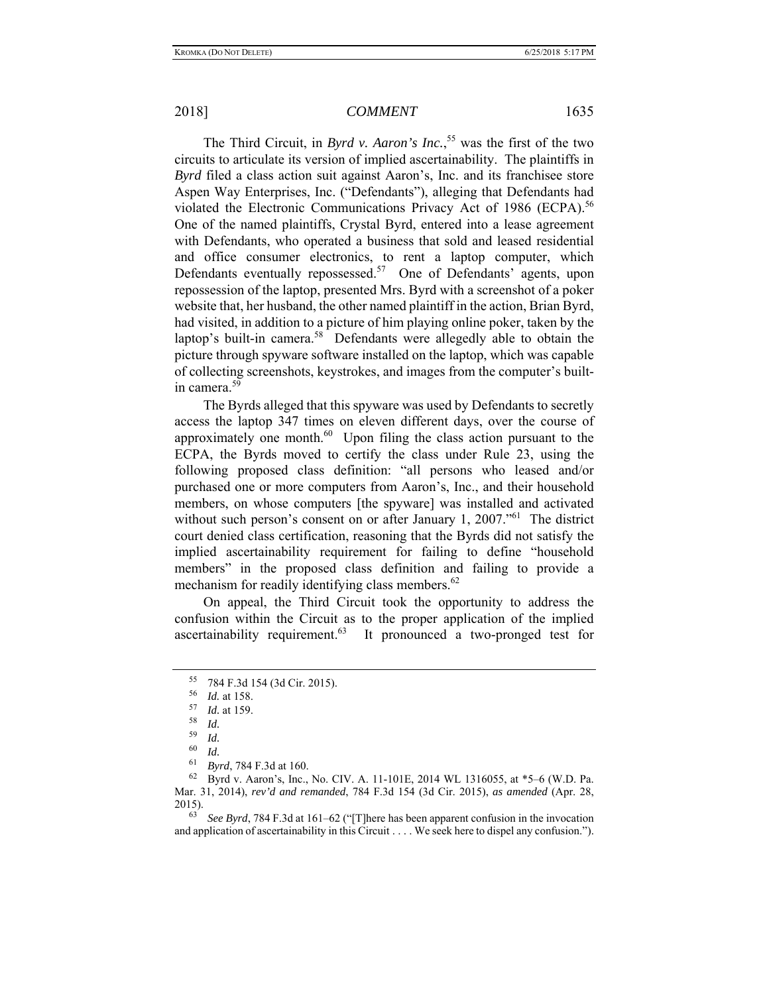The Third Circuit, in *Byrd v. Aaron's Inc.*, 55 was the first of the two circuits to articulate its version of implied ascertainability.The plaintiffs in *Byrd* filed a class action suit against Aaron's, Inc. and its franchisee store Aspen Way Enterprises, Inc. ("Defendants"), alleging that Defendants had violated the Electronic Communications Privacy Act of 1986 (ECPA).<sup>56</sup> One of the named plaintiffs, Crystal Byrd, entered into a lease agreement with Defendants, who operated a business that sold and leased residential and office consumer electronics, to rent a laptop computer, which Defendants eventually repossessed.<sup>57</sup> One of Defendants' agents, upon repossession of the laptop, presented Mrs. Byrd with a screenshot of a poker website that, her husband, the other named plaintiff in the action, Brian Byrd, had visited, in addition to a picture of him playing online poker, taken by the laptop's built-in camera.<sup>58</sup> Defendants were allegedly able to obtain the picture through spyware software installed on the laptop, which was capable of collecting screenshots, keystrokes, and images from the computer's builtin camera.<sup>59</sup>

The Byrds alleged that this spyware was used by Defendants to secretly access the laptop 347 times on eleven different days, over the course of approximately one month. $^{60}$  Upon filing the class action pursuant to the ECPA, the Byrds moved to certify the class under Rule 23, using the following proposed class definition: "all persons who leased and/or purchased one or more computers from Aaron's, Inc., and their household members, on whose computers [the spyware] was installed and activated without such person's consent on or after January 1, 2007."<sup>61</sup> The district court denied class certification, reasoning that the Byrds did not satisfy the implied ascertainability requirement for failing to define "household members" in the proposed class definition and failing to provide a mechanism for readily identifying class members.<sup>62</sup>

On appeal, the Third Circuit took the opportunity to address the confusion within the Circuit as to the proper application of the implied ascertainability requirement. $63$  It pronounced a two-pronged test for

<sup>55 784</sup> F.3d 154 (3d Cir. 2015).

<sup>56</sup>*Id.* at 158. 57 *Id.* at 159.

 $\begin{array}{c} 58 \ 59 \ 14 \end{array}$ 

 $\begin{array}{c} 59 \ 60 \ \hline L1 \end{array}$ 

*Id.* 

<sup>61</sup> *Byrd*, 784 F.3d at 160.

<sup>62</sup> Byrd v. Aaron's, Inc., No. CIV. A. 11-101E, 2014 WL 1316055, at \*5–6 (W.D. Pa. Mar. 31, 2014), *rev'd and remanded*, 784 F.3d 154 (3d Cir. 2015), *as amended* (Apr. 28,  $2015$ ).

<sup>63</sup> *See Byrd*, 784 F.3d at 161–62 ("[T]here has been apparent confusion in the invocation and application of ascertainability in this Circuit . . . . We seek here to dispel any confusion.").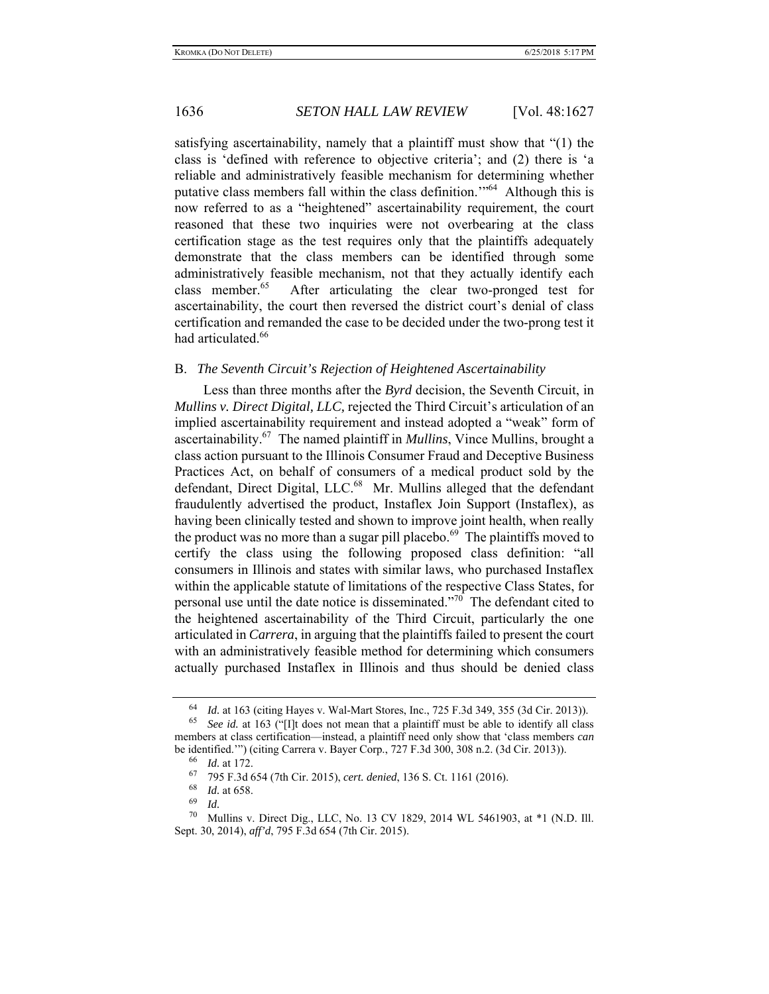satisfying ascertainability, namely that a plaintiff must show that "(1) the class is 'defined with reference to objective criteria'; and (2) there is 'a reliable and administratively feasible mechanism for determining whether putative class members fall within the class definition.'"<sup>64</sup> Although this is now referred to as a "heightened" ascertainability requirement, the court reasoned that these two inquiries were not overbearing at the class certification stage as the test requires only that the plaintiffs adequately demonstrate that the class members can be identified through some administratively feasible mechanism, not that they actually identify each class member. $65$  After articulating the clear two-pronged test for ascertainability, the court then reversed the district court's denial of class certification and remanded the case to be decided under the two-prong test it had articulated.<sup>66</sup>

#### B. *The Seventh Circuit's Rejection of Heightened Ascertainability*

Less than three months after the *Byrd* decision, the Seventh Circuit, in *Mullins v. Direct Digital, LLC,* rejected the Third Circuit's articulation of an implied ascertainability requirement and instead adopted a "weak" form of ascertainability.67 The named plaintiff in *Mullins*, Vince Mullins, brought a class action pursuant to the Illinois Consumer Fraud and Deceptive Business Practices Act, on behalf of consumers of a medical product sold by the defendant, Direct Digital, LLC.<sup>68</sup> Mr. Mullins alleged that the defendant fraudulently advertised the product, Instaflex Join Support (Instaflex), as having been clinically tested and shown to improve joint health, when really the product was no more than a sugar pill placebo. $69$  The plaintiffs moved to certify the class using the following proposed class definition: "all consumers in Illinois and states with similar laws, who purchased Instaflex within the applicable statute of limitations of the respective Class States, for personal use until the date notice is disseminated."70 The defendant cited to the heightened ascertainability of the Third Circuit, particularly the one articulated in *Carrera*, in arguing that the plaintiffs failed to present the court with an administratively feasible method for determining which consumers actually purchased Instaflex in Illinois and thus should be denied class

<sup>64</sup> *Id.* at 163 (citing Hayes v. Wal-Mart Stores, Inc., 725 F.3d 349, 355 (3d Cir. 2013)).

<sup>65</sup> *See id.* at 163 ("[I]t does not mean that a plaintiff must be able to identify all class members at class certification—instead, a plaintiff need only show that 'class members *can* be identified.'") (citing Carrera v. Bayer Corp., 727 F.3d 300, 308 n.2. (3d Cir. 2013)).

<sup>66</sup> *Id.* at 172.

<sup>67 795</sup> F.3d 654 (7th Cir. 2015), *cert. denied*, 136 S. Ct. 1161 (2016).

 $\frac{68}{69}$  *Id.* at 658.

*Id.* 

<sup>&</sup>lt;sup>70</sup> Mullins v. Direct Dig., LLC, No. 13 CV 1829, 2014 WL 5461903, at  $*1$  (N.D. Ill. Sept. 30, 2014), *aff'd*, 795 F.3d 654 (7th Cir. 2015).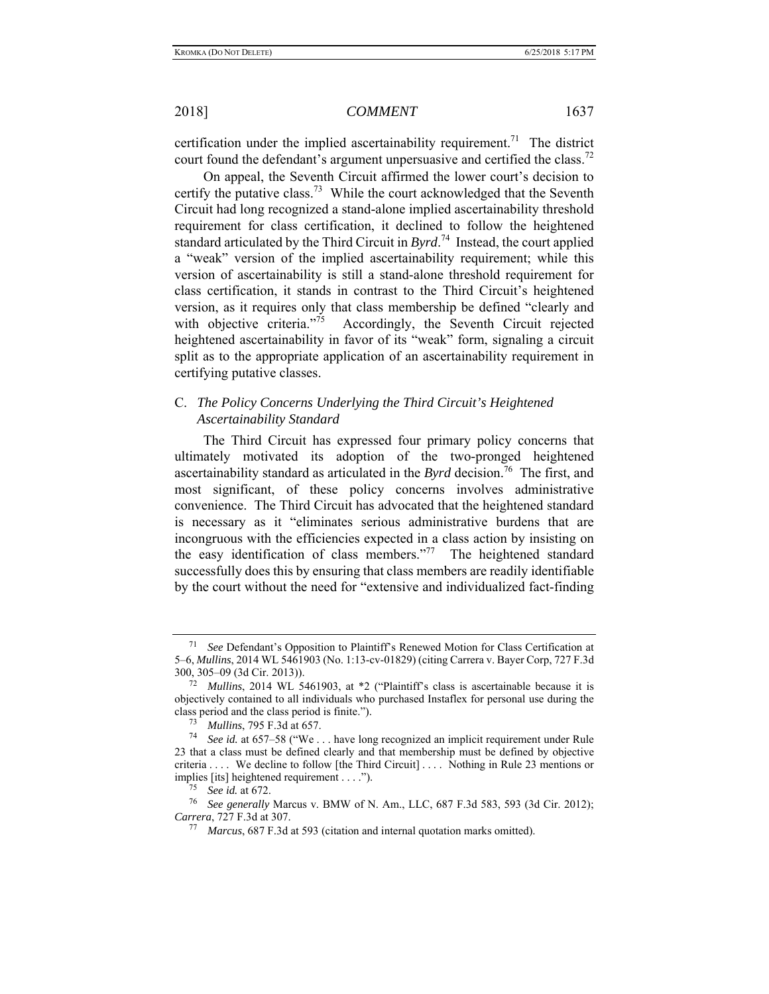certification under the implied ascertainability requirement.<sup>71</sup> The district court found the defendant's argument unpersuasive and certified the class.<sup>72</sup>

On appeal, the Seventh Circuit affirmed the lower court's decision to certify the putative class.<sup>73</sup> While the court acknowledged that the Seventh Circuit had long recognized a stand-alone implied ascertainability threshold requirement for class certification, it declined to follow the heightened standard articulated by the Third Circuit in *Byrd*. 74 Instead, the court applied a "weak" version of the implied ascertainability requirement; while this version of ascertainability is still a stand-alone threshold requirement for class certification, it stands in contrast to the Third Circuit's heightened version, as it requires only that class membership be defined "clearly and with objective criteria."<sup>75</sup> Accordingly, the Seventh Circuit rejected heightened ascertainability in favor of its "weak" form, signaling a circuit split as to the appropriate application of an ascertainability requirement in certifying putative classes.

# C. *The Policy Concerns Underlying the Third Circuit's Heightened Ascertainability Standard*

The Third Circuit has expressed four primary policy concerns that ultimately motivated its adoption of the two-pronged heightened ascertainability standard as articulated in the *Byrd* decision.<sup>76</sup> The first, and most significant, of these policy concerns involves administrative convenience. The Third Circuit has advocated that the heightened standard is necessary as it "eliminates serious administrative burdens that are incongruous with the efficiencies expected in a class action by insisting on the easy identification of class members."<sup>77</sup> The heightened standard successfully does this by ensuring that class members are readily identifiable by the court without the need for "extensive and individualized fact-finding

<sup>71</sup> *See* Defendant's Opposition to Plaintiff's Renewed Motion for Class Certification at 5–6, *Mullins*, 2014 WL 5461903 (No. 1:13-cv-01829) (citing Carrera v. Bayer Corp, 727 F.3d 300, 305–09 (3d Cir. 2013)).

<sup>72</sup> *Mullins*, 2014 WL 5461903, at \*2 ("Plaintiff's class is ascertainable because it is objectively contained to all individuals who purchased Instaflex for personal use during the class period and the class period is finite.").

<sup>73</sup> *Mullins*, 795 F.3d at 657.

<sup>74</sup> *See id.* at 657–58 ("We . . . have long recognized an implicit requirement under Rule 23 that a class must be defined clearly and that membership must be defined by objective criteria . . . . We decline to follow [the Third Circuit] . . . . Nothing in Rule 23 mentions or implies [its] heightened requirement . . . ."). 75 *See id.* at 672.

<sup>76</sup> *See generally* Marcus v. BMW of N. Am., LLC, 687 F.3d 583, 593 (3d Cir. 2012); *Carrera*, 727 F.3d at 307. 77 *Marcus*, 687 F.3d at 593 (citation and internal quotation marks omitted).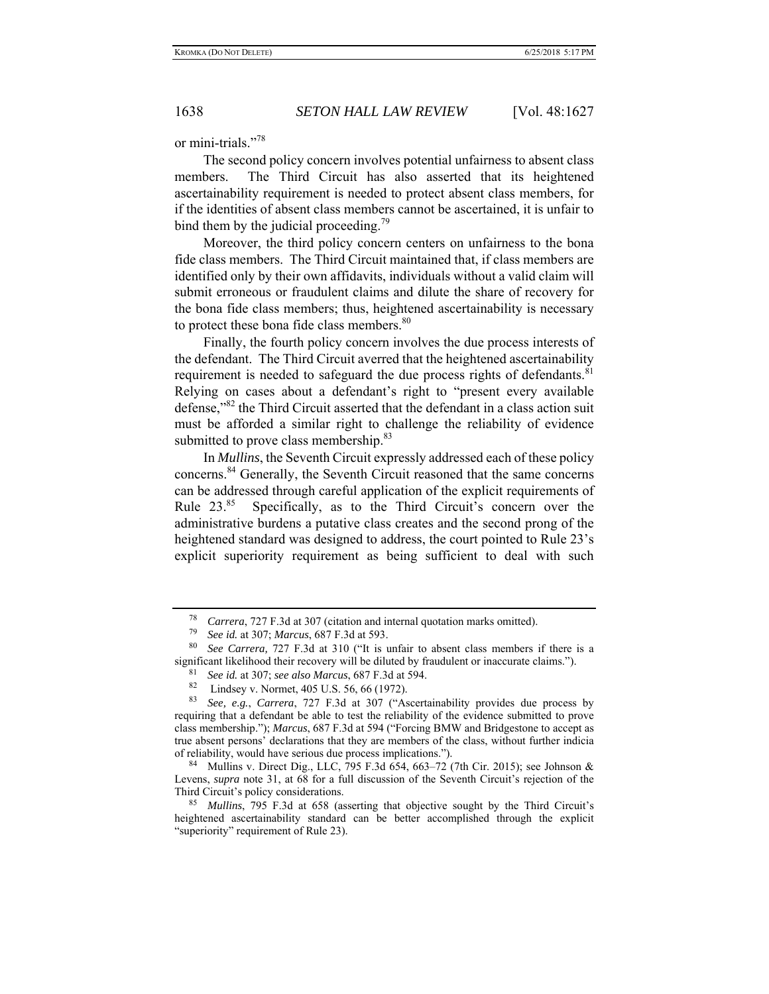or mini-trials."78

The second policy concern involves potential unfairness to absent class members. The Third Circuit has also asserted that its heightened ascertainability requirement is needed to protect absent class members, for if the identities of absent class members cannot be ascertained, it is unfair to bind them by the judicial proceeding. $\frac{79}{2}$ 

Moreover, the third policy concern centers on unfairness to the bona fide class members. The Third Circuit maintained that, if class members are identified only by their own affidavits, individuals without a valid claim will submit erroneous or fraudulent claims and dilute the share of recovery for the bona fide class members; thus, heightened ascertainability is necessary to protect these bona fide class members.<sup>80</sup>

Finally, the fourth policy concern involves the due process interests of the defendant. The Third Circuit averred that the heightened ascertainability requirement is needed to safeguard the due process rights of defendants.  $81$ Relying on cases about a defendant's right to "present every available defense,"82 the Third Circuit asserted that the defendant in a class action suit must be afforded a similar right to challenge the reliability of evidence submitted to prove class membership.<sup>83</sup>

In *Mullins*, the Seventh Circuit expressly addressed each of these policy concerns.<sup>84</sup> Generally, the Seventh Circuit reasoned that the same concerns can be addressed through careful application of the explicit requirements of Rule  $23.^{85}$  Specifically, as to the Third Circuit's concern over the administrative burdens a putative class creates and the second prong of the heightened standard was designed to address, the court pointed to Rule 23's explicit superiority requirement as being sufficient to deal with such

<sup>&</sup>lt;sup>78</sup> *Carrera*, 727 F.3d at 307 (citation and internal quotation marks omitted).<br> $\frac{79}{25}$  Secid at 2071 Manaus 687 E.2d at 502

<sup>79</sup> *See id.* at 307; *Marcus*, 687 F.3d at 593.

<sup>80</sup> *See Carrera,* 727 F.3d at 310 ("It is unfair to absent class members if there is a significant likelihood their recovery will be diluted by fraudulent or inaccurate claims.").

<sup>81</sup> *See id.* at 307; *see also Marcus*, 687 F.3d at 594.

<sup>&</sup>lt;sup>82</sup> Lindsey v. Normet, 405 U.S. 56, 66 (1972).<br><sup>83</sup> See a.g. Carrara, 727 E.3d. at 307 ("As

<sup>83</sup> *See, e.g.*, *Carrera*, 727 F.3d at 307 ("Ascertainability provides due process by requiring that a defendant be able to test the reliability of the evidence submitted to prove class membership."); *Marcus*, 687 F.3d at 594 ("Forcing BMW and Bridgestone to accept as true absent persons' declarations that they are members of the class, without further indicia of reliability, would have serious due process implications.").

<sup>&</sup>lt;sup>84</sup> Mullins v. Direct Dig., LLC, 795 F.3d 654, 663–72 (7th Cir. 2015); see Johnson & Levens, *supra* note 31, at 68 for a full discussion of the Seventh Circuit's rejection of the Third Circuit's policy considerations.

<sup>85</sup> *Mullins*, 795 F.3d at 658 (asserting that objective sought by the Third Circuit's heightened ascertainability standard can be better accomplished through the explicit "superiority" requirement of Rule 23).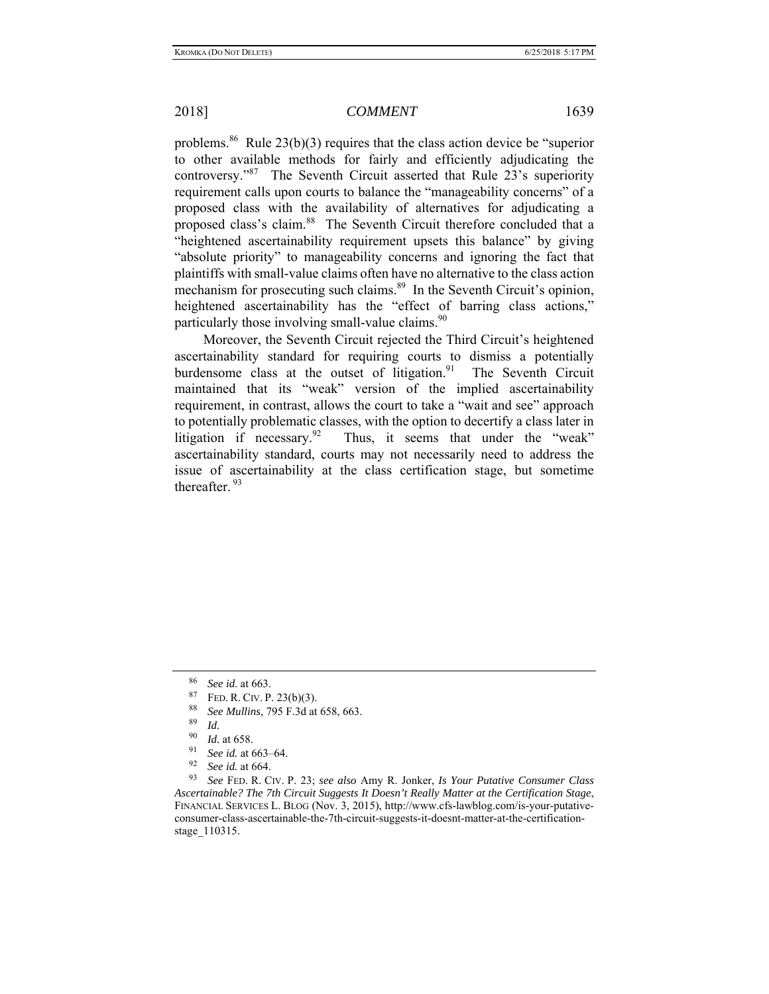problems.<sup>86</sup> Rule 23(b)(3) requires that the class action device be "superior to other available methods for fairly and efficiently adjudicating the controversy."87 The Seventh Circuit asserted that Rule 23's superiority requirement calls upon courts to balance the "manageability concerns" of a proposed class with the availability of alternatives for adjudicating a proposed class's claim.<sup>88</sup> The Seventh Circuit therefore concluded that a "heightened ascertainability requirement upsets this balance" by giving "absolute priority" to manageability concerns and ignoring the fact that plaintiffs with small-value claims often have no alternative to the class action mechanism for prosecuting such claims.<sup>89</sup> In the Seventh Circuit's opinion, heightened ascertainability has the "effect of barring class actions," particularly those involving small-value claims. $90$ 

Moreover, the Seventh Circuit rejected the Third Circuit's heightened ascertainability standard for requiring courts to dismiss a potentially burdensome class at the outset of litigation. $91$  The Seventh Circuit maintained that its "weak" version of the implied ascertainability requirement, in contrast, allows the court to take a "wait and see" approach to potentially problematic classes, with the option to decertify a class later in litigation if necessary.<sup>92</sup> Thus, it seems that under the "weak" ascertainability standard, courts may not necessarily need to address the issue of ascertainability at the class certification stage, but sometime thereafter.<sup>93</sup>

<sup>86</sup> *See id*. at 663.

<sup>&</sup>lt;sup>87</sup> FED. R. CIV. P. 23(b)(3).<br><sup>88</sup> See Mullips, 705 F. 3d et

<sup>88</sup> *See Mullins*, 795 F.3d at 658, 663.

 $\frac{89}{90}$  *Id.* 

 $\frac{90}{91}$  *Id.* at 658.

<sup>&</sup>lt;sup>91</sup> *See id.* at 663–64.<br><sup>92</sup> *See id.* at 664.

See id. at 664.

<sup>93</sup> *See* FED. R. CIV. P. 23; *see also* Amy R. Jonker, *Is Your Putative Consumer Class Ascertainable? The 7th Circuit Suggests It Doesn't Really Matter at the Certification Stage*, FINANCIAL SERVICES L. BLOG (Nov. 3, 2015), http://www.cfs-lawblog.com/is-your-putativeconsumer-class-ascertainable-the-7th-circuit-suggests-it-doesnt-matter-at-the-certificationstage\_110315.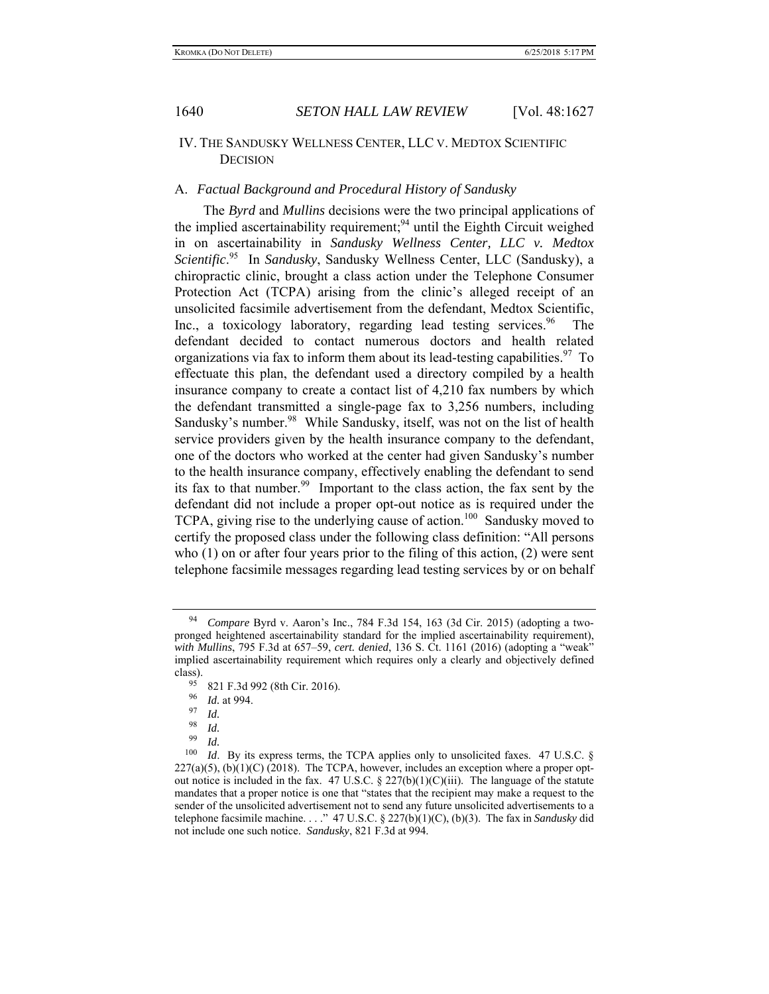### IV. THE SANDUSKY WELLNESS CENTER, LLC V. MEDTOX SCIENTIFIC **DECISION**

### A. *Factual Background and Procedural History of Sandusky*

The *Byrd* and *Mullins* decisions were the two principal applications of the implied ascertainability requirement;<sup>94</sup> until the Eighth Circuit weighed in on ascertainability in *Sandusky Wellness Center, LLC v. Medtox Scientific*. <sup>95</sup>In *Sandusky*, Sandusky Wellness Center, LLC (Sandusky), a chiropractic clinic, brought a class action under the Telephone Consumer Protection Act (TCPA) arising from the clinic's alleged receipt of an unsolicited facsimile advertisement from the defendant, Medtox Scientific, Inc., a toxicology laboratory, regarding lead testing services.<sup>96</sup> The defendant decided to contact numerous doctors and health related organizations via fax to inform them about its lead-testing capabilities.<sup>97</sup> To effectuate this plan, the defendant used a directory compiled by a health insurance company to create a contact list of 4,210 fax numbers by which the defendant transmitted a single-page fax to 3,256 numbers, including Sandusky's number.<sup>98</sup> While Sandusky, itself, was not on the list of health service providers given by the health insurance company to the defendant, one of the doctors who worked at the center had given Sandusky's number to the health insurance company, effectively enabling the defendant to send its fax to that number.<sup>99</sup> Important to the class action, the fax sent by the defendant did not include a proper opt-out notice as is required under the TCPA, giving rise to the underlying cause of action.<sup>100</sup> Sandusky moved to certify the proposed class under the following class definition: "All persons who (1) on or after four years prior to the filing of this action, (2) were sent telephone facsimile messages regarding lead testing services by or on behalf

<sup>94</sup> *Compare* Byrd v. Aaron's Inc., 784 F.3d 154, 163 (3d Cir. 2015) (adopting a twopronged heightened ascertainability standard for the implied ascertainability requirement), *with Mullins*, 795 F.3d at 657–59, *cert. denied*, 136 S. Ct. 1161 (2016) (adopting a "weak" implied ascertainability requirement which requires only a clearly and objectively defined class).

 $^{95}$  821 F.3d 992 (8th Cir. 2016).

<sup>&</sup>lt;sup>96</sup> *Id.* at 994.

 $\frac{97}{98}$  *Id.* 

<sup>98</sup> *Id.*

 $\frac{99}{100}$  *Id. Id.* By its express terms, the TCPA applies only to unsolicited faxes. 47 U.S.C. §  $227(a)(5)$ , (b) $(1)(C)$  (2018). The TCPA, however, includes an exception where a proper optout notice is included in the fax. 47 U.S.C.  $\S 227(b)(1)(C)(iii)$ . The language of the statute mandates that a proper notice is one that "states that the recipient may make a request to the sender of the unsolicited advertisement not to send any future unsolicited advertisements to a telephone facsimile machine. . . ." 47 U.S.C. § 227(b)(1)(C), (b)(3). The fax in *Sandusky* did not include one such notice. *Sandusky*, 821 F.3d at 994.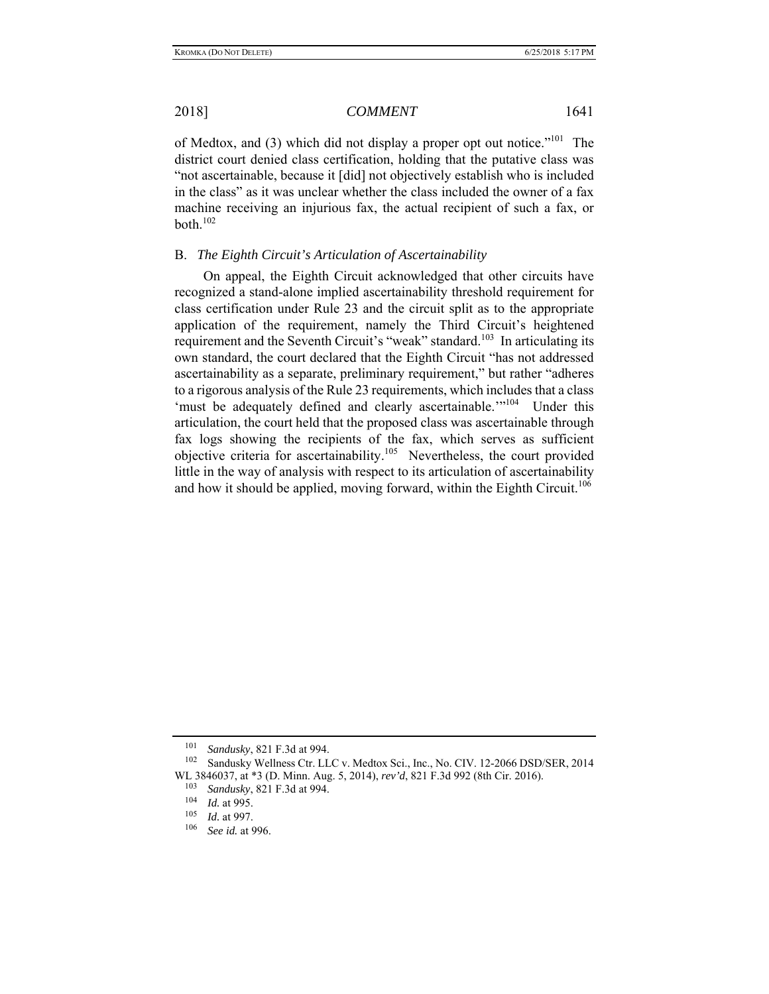of Medtox, and (3) which did not display a proper opt out notice."<sup>101</sup> The district court denied class certification, holding that the putative class was "not ascertainable, because it [did] not objectively establish who is included in the class" as it was unclear whether the class included the owner of a fax machine receiving an injurious fax, the actual recipient of such a fax, or both. $102$ 

### B. *The Eighth Circuit's Articulation of Ascertainability*

On appeal, the Eighth Circuit acknowledged that other circuits have recognized a stand-alone implied ascertainability threshold requirement for class certification under Rule 23 and the circuit split as to the appropriate application of the requirement, namely the Third Circuit's heightened requirement and the Seventh Circuit's "weak" standard.<sup>103</sup> In articulating its own standard, the court declared that the Eighth Circuit "has not addressed ascertainability as a separate, preliminary requirement," but rather "adheres to a rigorous analysis of the Rule 23 requirements, which includes that a class 'must be adequately defined and clearly ascertainable.'"<sup>104</sup> Under this articulation, the court held that the proposed class was ascertainable through fax logs showing the recipients of the fax, which serves as sufficient objective criteria for ascertainability.<sup>105</sup> Nevertheless, the court provided little in the way of analysis with respect to its articulation of ascertainability and how it should be applied, moving forward, within the Eighth Circuit.<sup>106</sup>

<sup>101</sup> *Sandusky*, 821 F.3d at 994.

Sandusky Wellness Ctr. LLC v. Medtox Sci., Inc., No. CIV. 12-2066 DSD/SER, 2014 WL 3846037, at \*3 (D. Minn. Aug. 5, 2014), *rev'd*, 821 F.3d 992 (8th Cir. 2016).

<sup>&</sup>lt;sup>103</sup> *Sandusky*, 821 F.3d at 994.<br><sup>104</sup> *Id* at 995

 $\frac{104}{105}$  *Id.* at 995.

 $\frac{105}{106}$  *Id.* at 997.

See id. at 996.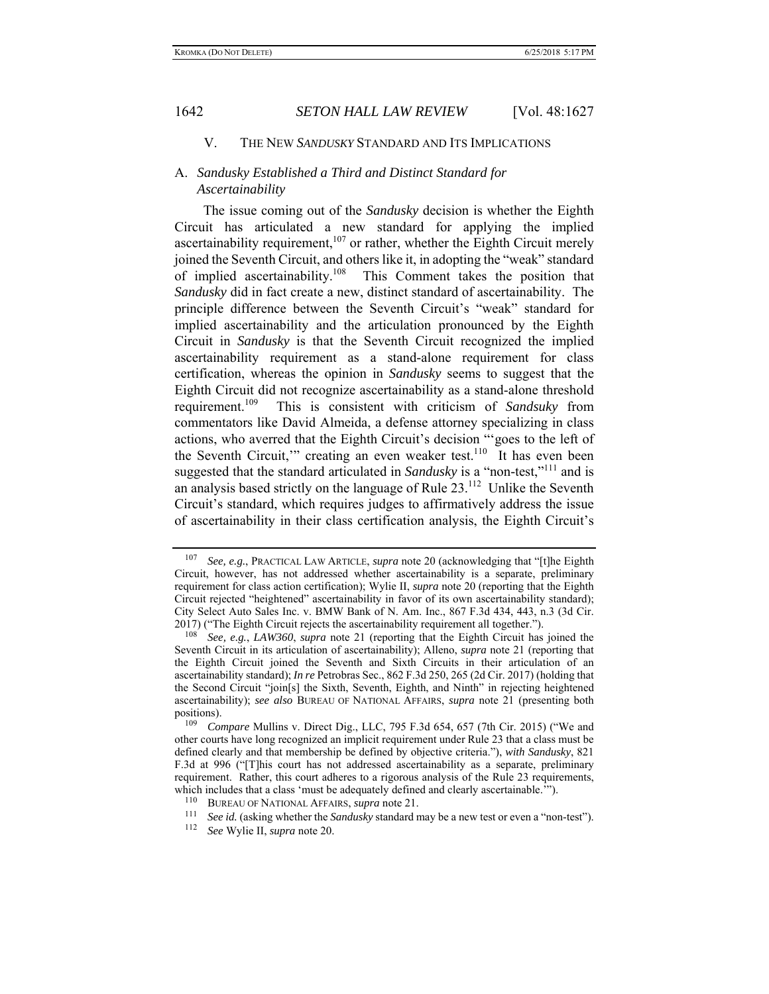### V. THE NEW *SANDUSKY* STANDARD AND ITS IMPLICATIONS

# A. *Sandusky Established a Third and Distinct Standard for Ascertainability*

The issue coming out of the *Sandusky* decision is whether the Eighth Circuit has articulated a new standard for applying the implied ascertainability requirement, $107$  or rather, whether the Eighth Circuit merely joined the Seventh Circuit, and others like it, in adopting the "weak" standard of implied ascertainability.<sup>108</sup> This Comment takes the position that *Sandusky* did in fact create a new, distinct standard of ascertainability. The principle difference between the Seventh Circuit's "weak" standard for implied ascertainability and the articulation pronounced by the Eighth Circuit in *Sandusky* is that the Seventh Circuit recognized the implied ascertainability requirement as a stand-alone requirement for class certification, whereas the opinion in *Sandusky* seems to suggest that the Eighth Circuit did not recognize ascertainability as a stand-alone threshold requirement.109 This is consistent with criticism of *Sandsuky* from commentators like David Almeida, a defense attorney specializing in class actions, who averred that the Eighth Circuit's decision "'goes to the left of the Seventh Circuit," creating an even weaker test.<sup>110</sup> It has even been suggested that the standard articulated in *Sandusky* is a "non-test,"<sup>111</sup> and is an analysis based strictly on the language of Rule  $23$ .<sup>112</sup> Unlike the Seventh Circuit's standard, which requires judges to affirmatively address the issue of ascertainability in their class certification analysis, the Eighth Circuit's

<sup>107</sup> *See, e.g.*, PRACTICAL LAW ARTICLE, *supra* note 20 (acknowledging that "[t]he Eighth Circuit, however, has not addressed whether ascertainability is a separate, preliminary requirement for class action certification); Wylie II, *supra* note 20 (reporting that the Eighth Circuit rejected "heightened" ascertainability in favor of its own ascertainability standard); City Select Auto Sales Inc. v. BMW Bank of N. Am. Inc., 867 F.3d 434, 443, n.3 (3d Cir. 2017) ("The Eighth Circuit rejects the ascertainability requirement all together.").

<sup>108</sup> *See, e.g.*, *LAW360*, *supra* note 21 (reporting that the Eighth Circuit has joined the Seventh Circuit in its articulation of ascertainability); Alleno, *supra* note 21 (reporting that the Eighth Circuit joined the Seventh and Sixth Circuits in their articulation of an ascertainability standard); *In re* Petrobras Sec., 862 F.3d 250, 265 (2d Cir. 2017) (holding that the Second Circuit "join[s] the Sixth, Seventh, Eighth, and Ninth" in rejecting heightened ascertainability); *see also* BUREAU OF NATIONAL AFFAIRS, *supra* note 21 (presenting both positions).

*Compare* Mullins v. Direct Dig., LLC, 795 F.3d 654, 657 (7th Cir. 2015) ("We and other courts have long recognized an implicit requirement under Rule 23 that a class must be defined clearly and that membership be defined by objective criteria."), *with Sandusky*, 821 F.3d at 996 ("[T]his court has not addressed ascertainability as a separate, preliminary requirement. Rather, this court adheres to a rigorous analysis of the Rule 23 requirements, which includes that a class 'must be adequately defined and clearly ascertainable."").

<sup>110</sup> BUREAU OF NATIONAL AFFAIRS, *supra* note 21. 111 *See id.* (asking whether the *Sandusky* standard may be a new test or even a "non-test"). 112 *See* Wylie II, *supra* note 20.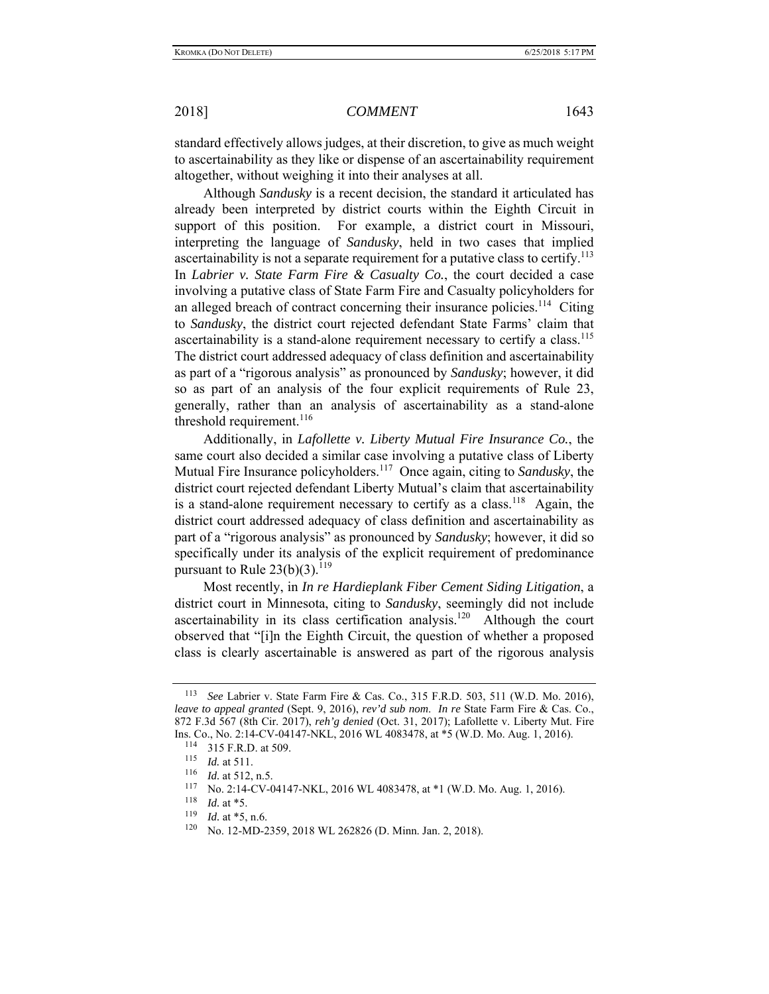standard effectively allows judges, at their discretion, to give as much weight to ascertainability as they like or dispense of an ascertainability requirement altogether, without weighing it into their analyses at all.

Although *Sandusky* is a recent decision, the standard it articulated has already been interpreted by district courts within the Eighth Circuit in support of this position. For example, a district court in Missouri, interpreting the language of *Sandusky*, held in two cases that implied ascertainability is not a separate requirement for a putative class to certify.<sup>113</sup> In *Labrier v. State Farm Fire & Casualty Co.*, the court decided a case involving a putative class of State Farm Fire and Casualty policyholders for an alleged breach of contract concerning their insurance policies.<sup>114</sup> Citing to *Sandusky*, the district court rejected defendant State Farms' claim that ascertainability is a stand-alone requirement necessary to certify a class.<sup>115</sup> The district court addressed adequacy of class definition and ascertainability as part of a "rigorous analysis" as pronounced by *Sandusky*; however, it did so as part of an analysis of the four explicit requirements of Rule 23, generally, rather than an analysis of ascertainability as a stand-alone threshold requirement. $^{116}$ 

Additionally, in *Lafollette v. Liberty Mutual Fire Insurance Co.*, the same court also decided a similar case involving a putative class of Liberty Mutual Fire Insurance policyholders.117 Once again, citing to *Sandusky*, the district court rejected defendant Liberty Mutual's claim that ascertainability is a stand-alone requirement necessary to certify as a class.<sup>118</sup> Again, the district court addressed adequacy of class definition and ascertainability as part of a "rigorous analysis" as pronounced by *Sandusky*; however, it did so specifically under its analysis of the explicit requirement of predominance pursuant to Rule  $23(b)(3)$ .<sup>119</sup>

Most recently, in *In re Hardieplank Fiber Cement Siding Litigation*, a district court in Minnesota, citing to *Sandusky*, seemingly did not include ascertainability in its class certification analysis.<sup>120</sup> Although the court observed that "[i]n the Eighth Circuit, the question of whether a proposed class is clearly ascertainable is answered as part of the rigorous analysis

<sup>113</sup> *See* Labrier v. State Farm Fire & Cas. Co., 315 F.R.D. 503, 511 (W.D. Mo. 2016), *leave to appeal granted* (Sept. 9, 2016), *rev'd sub nom*. *In re* State Farm Fire & Cas. Co., 872 F.3d 567 (8th Cir. 2017), *reh'g denied* (Oct. 31, 2017); Lafollette v. Liberty Mut. Fire Ins. Co., No. 2:14-CV-04147-NKL, 2016 WL 4083478, at \*5 (W.D. Mo. Aug. 1, 2016). 114 315 F.R.D. at 509.

<sup>115</sup> *Id.* at 511.

 $\frac{116}{117}$  *Id.* at 512, n.5.

No. 2:14-CV-04147-NKL, 2016 WL 4083478, at \*1 (W.D. Mo. Aug. 1, 2016).

 $\frac{118}{119}$  *Id.* at \*5.

 $\frac{119}{120}$  *Id.* at \*5, n.6.

No. 12-MD-2359, 2018 WL 262826 (D. Minn. Jan. 2, 2018).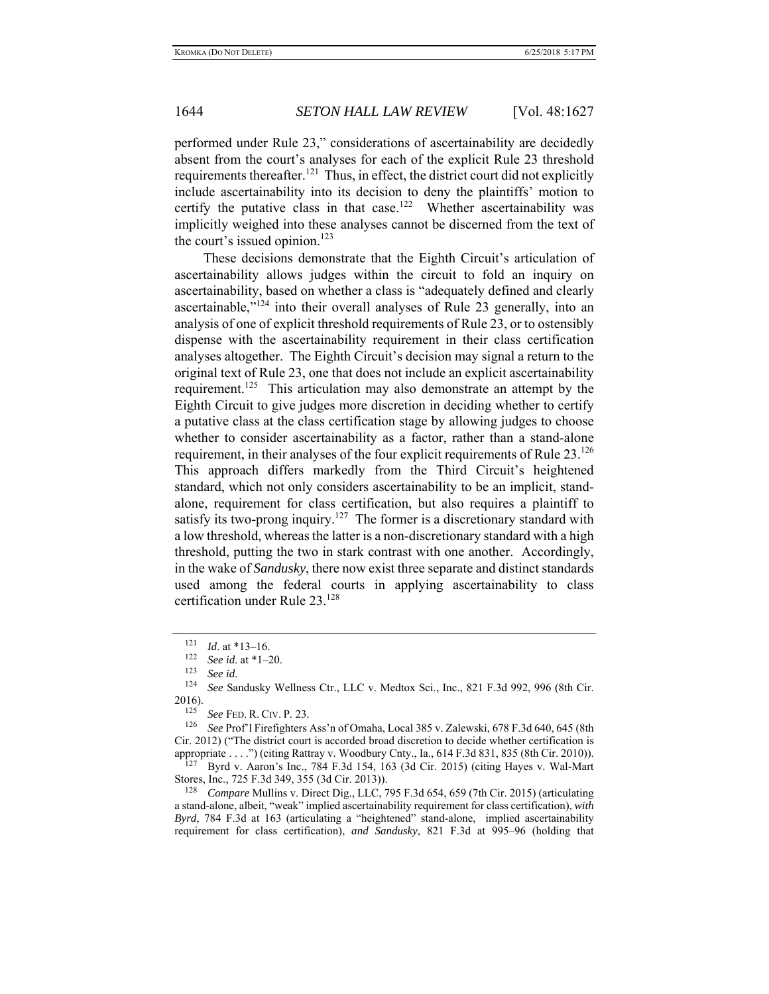performed under Rule 23," considerations of ascertainability are decidedly absent from the court's analyses for each of the explicit Rule 23 threshold requirements thereafter.<sup>121</sup> Thus, in effect, the district court did not explicitly include ascertainability into its decision to deny the plaintiffs' motion to certify the putative class in that case.<sup>122</sup> Whether ascertainability was implicitly weighed into these analyses cannot be discerned from the text of the court's issued opinion. $123$ 

These decisions demonstrate that the Eighth Circuit's articulation of ascertainability allows judges within the circuit to fold an inquiry on ascertainability, based on whether a class is "adequately defined and clearly ascertainable, $v^{124}$  into their overall analyses of Rule 23 generally, into an analysis of one of explicit threshold requirements of Rule 23, or to ostensibly dispense with the ascertainability requirement in their class certification analyses altogether. The Eighth Circuit's decision may signal a return to the original text of Rule 23, one that does not include an explicit ascertainability requirement.<sup>125</sup> This articulation may also demonstrate an attempt by the Eighth Circuit to give judges more discretion in deciding whether to certify a putative class at the class certification stage by allowing judges to choose whether to consider ascertainability as a factor, rather than a stand-alone requirement, in their analyses of the four explicit requirements of Rule  $23.^{126}$ This approach differs markedly from the Third Circuit's heightened standard, which not only considers ascertainability to be an implicit, standalone, requirement for class certification, but also requires a plaintiff to satisfy its two-prong inquiry.<sup>127</sup> The former is a discretionary standard with a low threshold, whereas the latter is a non-discretionary standard with a high threshold, putting the two in stark contrast with one another. Accordingly, in the wake of *Sandusky*, there now exist three separate and distinct standards used among the federal courts in applying ascertainability to class certification under Rule 23.128

<sup>121</sup> *Id.* at \*13–16.<br><sup>122</sup> *See id.* at \*1–20.<br><sup>123</sup> *Secial* 

<sup>&</sup>lt;sup>123</sup> See id.<br><sup>124</sup> See Sandusky Wellness Ctr., LLC v. Medtox Sci., Inc., 821 F.3d 992, 996 (8th Cir.  $2016$ .

<sup>125</sup> *See* FED. R. CIV. P. 23.

<sup>126</sup> *See* Prof'l Firefighters Ass'n of Omaha, Local 385 v. Zalewski, 678 F.3d 640, 645 (8th Cir. 2012) ("The district court is accorded broad discretion to decide whether certification is appropriate . . . .") (citing Rattray v. Woodbury Cnty., Ia.,  $614$  F.3d 831, 835 (8th Cir. 2010)).

<sup>127</sup> Byrd v. Aaron's Inc., 784 F.3d 154, 163 (3d Cir. 2015) (citing Hayes v. Wal-Mart Stores, Inc., 725 F.3d 349, 355 (3d Cir. 2013)).

<sup>128</sup> *Compare* Mullins v. Direct Dig., LLC, 795 F.3d 654, 659 (7th Cir. 2015) (articulating a stand-alone, albeit, "weak" implied ascertainability requirement for class certification), *with Byrd*, 784 F.3d at 163 (articulating a "heightened" stand-alone, implied ascertainability requirement for class certification), *and Sandusky*, 821 F.3d at 995–96 (holding that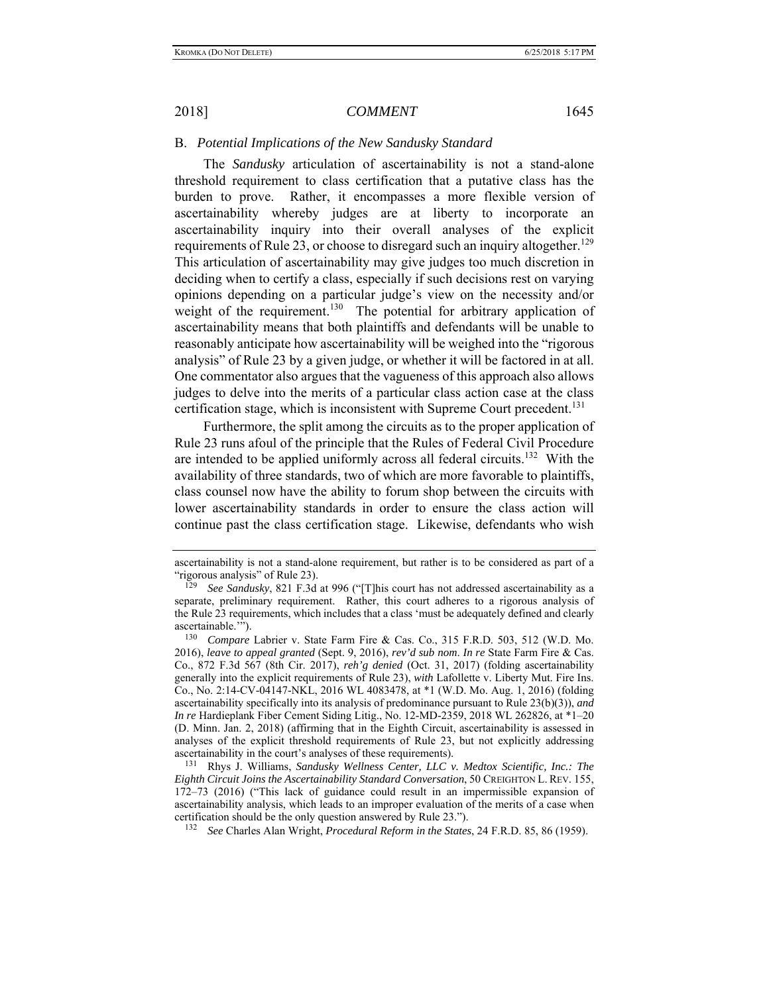# B. *Potential Implications of the New Sandusky Standard*

The *Sandusky* articulation of ascertainability is not a stand-alone threshold requirement to class certification that a putative class has the burden to prove. Rather, it encompasses a more flexible version of ascertainability whereby judges are at liberty to incorporate an ascertainability inquiry into their overall analyses of the explicit requirements of Rule 23, or choose to disregard such an inquiry altogether.<sup>129</sup> This articulation of ascertainability may give judges too much discretion in deciding when to certify a class, especially if such decisions rest on varying opinions depending on a particular judge's view on the necessity and/or weight of the requirement.<sup>130</sup> The potential for arbitrary application of ascertainability means that both plaintiffs and defendants will be unable to reasonably anticipate how ascertainability will be weighed into the "rigorous analysis" of Rule 23 by a given judge, or whether it will be factored in at all. One commentator also argues that the vagueness of this approach also allows judges to delve into the merits of a particular class action case at the class certification stage, which is inconsistent with Supreme Court precedent.<sup>131</sup>

Furthermore, the split among the circuits as to the proper application of Rule 23 runs afoul of the principle that the Rules of Federal Civil Procedure are intended to be applied uniformly across all federal circuits.<sup>132</sup> With the availability of three standards, two of which are more favorable to plaintiffs, class counsel now have the ability to forum shop between the circuits with lower ascertainability standards in order to ensure the class action will continue past the class certification stage. Likewise, defendants who wish

ascertainability is not a stand-alone requirement, but rather is to be considered as part of a "rigorous analysis" of Rule 23).

<sup>129</sup> *See Sandusky*, 821 F.3d at 996 ("[T]his court has not addressed ascertainability as a separate, preliminary requirement. Rather, this court adheres to a rigorous analysis of the Rule 23 requirements, which includes that a class 'must be adequately defined and clearly ascertainable.'").

<sup>130</sup> *Compare* Labrier v. State Farm Fire & Cas. Co., 315 F.R.D. 503, 512 (W.D. Mo. 2016), *leave to appeal granted* (Sept. 9, 2016), *rev'd sub nom*. *In re* State Farm Fire & Cas. Co., 872 F.3d 567 (8th Cir. 2017), *reh'g denied* (Oct. 31, 2017) (folding ascertainability generally into the explicit requirements of Rule 23), *with* Lafollette v. Liberty Mut. Fire Ins. Co., No. 2:14-CV-04147-NKL, 2016 WL 4083478, at \*1 (W.D. Mo. Aug. 1, 2016) (folding ascertainability specifically into its analysis of predominance pursuant to Rule 23(b)(3)), *and In re* Hardieplank Fiber Cement Siding Litig., No. 12-MD-2359, 2018 WL 262826, at \*1–20 (D. Minn. Jan. 2, 2018) (affirming that in the Eighth Circuit, ascertainability is assessed in analyses of the explicit threshold requirements of Rule 23, but not explicitly addressing

ascertainability in the court's analyses of these requirements).<br><sup>131</sup> Rhys J. Williams, *Sandusky Wellness Center, LLC v. Medtox Scientific, Inc.: The Eighth Circuit Joins the Ascertainability Standard Conversation*, 50 CREIGHTON L. REV. 155, 172–73 (2016) ("This lack of guidance could result in an impermissible expansion of ascertainability analysis, which leads to an improper evaluation of the merits of a case when certification should be the only question answered by Rule 23.").

<sup>132</sup> *See* Charles Alan Wright, *Procedural Reform in the States*, 24 F.R.D. 85, 86 (1959).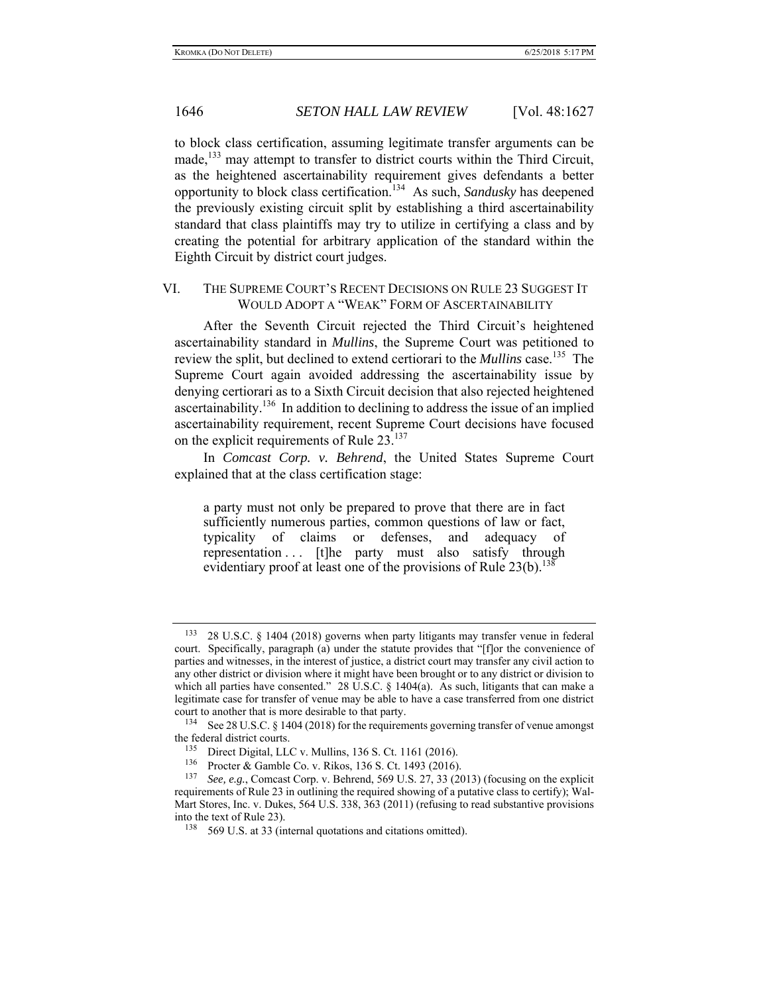to block class certification, assuming legitimate transfer arguments can be made,<sup>133</sup> may attempt to transfer to district courts within the Third Circuit, as the heightened ascertainability requirement gives defendants a better opportunity to block class certification.134 As such, *Sandusky* has deepened the previously existing circuit split by establishing a third ascertainability standard that class plaintiffs may try to utilize in certifying a class and by creating the potential for arbitrary application of the standard within the Eighth Circuit by district court judges.

# VI. THE SUPREME COURT'S RECENT DECISIONS ON RULE 23 SUGGEST IT WOULD ADOPT A "WEAK" FORM OF ASCERTAINABILITY

After the Seventh Circuit rejected the Third Circuit's heightened ascertainability standard in *Mullins*, the Supreme Court was petitioned to review the split, but declined to extend certiorari to the *Mullins* case.135 The Supreme Court again avoided addressing the ascertainability issue by denying certiorari as to a Sixth Circuit decision that also rejected heightened ascertainability.136 In addition to declining to address the issue of an implied ascertainability requirement, recent Supreme Court decisions have focused on the explicit requirements of Rule 23.<sup>137</sup>

In *Comcast Corp. v. Behrend*, the United States Supreme Court explained that at the class certification stage:

a party must not only be prepared to prove that there are in fact sufficiently numerous parties, common questions of law or fact, typicality of claims or defenses, and adequacy of representation ... [t]he party must also satisfy through evidentiary proof at least one of the provisions of Rule  $23(b)$ .<sup>138</sup>

<sup>133 28</sup> U.S.C. § 1404 (2018) governs when party litigants may transfer venue in federal court. Specifically, paragraph (a) under the statute provides that "[f]or the convenience of parties and witnesses, in the interest of justice, a district court may transfer any civil action to any other district or division where it might have been brought or to any district or division to which all parties have consented." 28 U.S.C. § 1404(a). As such, litigants that can make a legitimate case for transfer of venue may be able to have a case transferred from one district court to another that is more desirable to that party.<br> $134 \text{ S}_{28} 28 \text{ H.S.} C_{15} 1404 (2018)$  for the requirement

See 28 U.S.C. § 1404 (2018) for the requirements governing transfer of venue amongst the federal district courts.<br> $\frac{135}{135}$  Direct Digital LL

Direct Digital, LLC v. Mullins, 136 S. Ct. 1161 (2016).

<sup>&</sup>lt;sup>136</sup> Procter & Gamble Co. v. Rikos, 136 S. Ct. 1493 (2016).<br><sup>137</sup> See e.g. Compact Corp. v. Bohrond, 560 U.S. 27, 23.(20

See, e.g., Comcast Corp. v. Behrend, 569 U.S. 27, 33 (2013) (focusing on the explicit requirements of Rule 23 in outlining the required showing of a putative class to certify); Wal-Mart Stores, Inc. v. Dukes, 564 U.S. 338, 363 (2011) (refusing to read substantive provisions into the text of Rule 23).

<sup>&</sup>lt;sup>138</sup> 569 U.S. at 33 (internal quotations and citations omitted).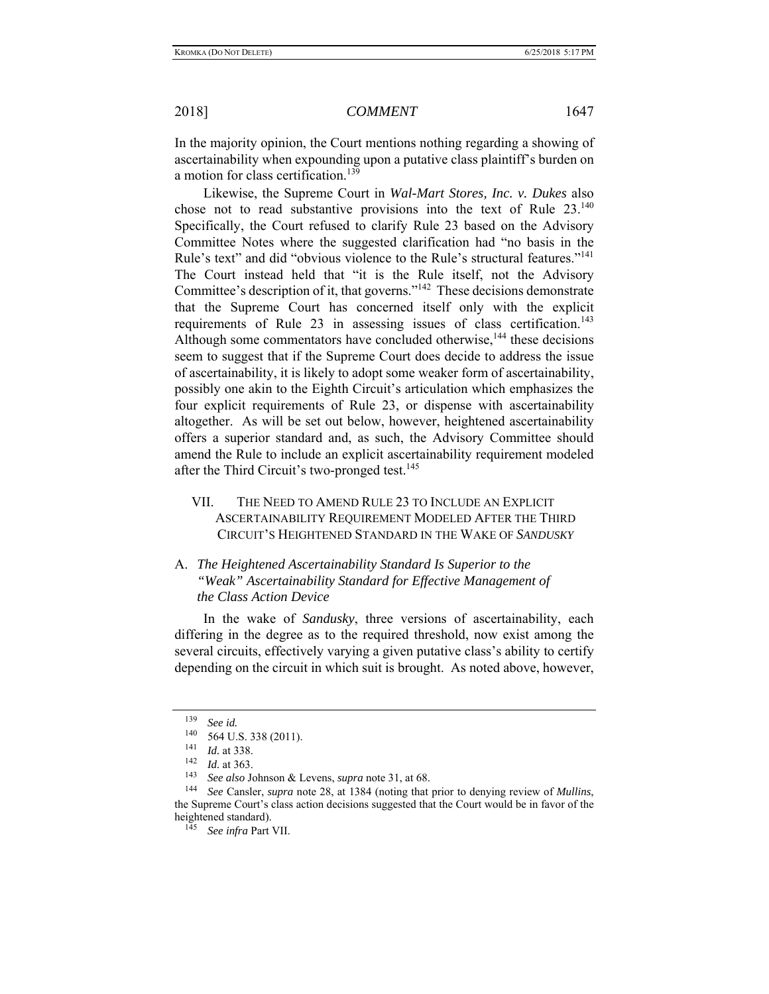In the majority opinion, the Court mentions nothing regarding a showing of ascertainability when expounding upon a putative class plaintiff's burden on a motion for class certification.<sup>139</sup>

Likewise, the Supreme Court in *Wal-Mart Stores, Inc. v. Dukes* also chose not to read substantive provisions into the text of Rule  $23^{140}$ Specifically, the Court refused to clarify Rule 23 based on the Advisory Committee Notes where the suggested clarification had "no basis in the Rule's text" and did "obvious violence to the Rule's structural features."<sup>141</sup> The Court instead held that "it is the Rule itself, not the Advisory Committee's description of it, that governs."142 These decisions demonstrate that the Supreme Court has concerned itself only with the explicit requirements of Rule 23 in assessing issues of class certification.<sup>143</sup> Although some commentators have concluded otherwise,<sup>144</sup> these decisions seem to suggest that if the Supreme Court does decide to address the issue of ascertainability, it is likely to adopt some weaker form of ascertainability, possibly one akin to the Eighth Circuit's articulation which emphasizes the four explicit requirements of Rule 23, or dispense with ascertainability altogether. As will be set out below, however, heightened ascertainability offers a superior standard and, as such, the Advisory Committee should amend the Rule to include an explicit ascertainability requirement modeled after the Third Circuit's two-pronged test.<sup>145</sup>

VII. THE NEED TO AMEND RULE 23 TO INCLUDE AN EXPLICIT ASCERTAINABILITY REQUIREMENT MODELED AFTER THE THIRD CIRCUIT'S HEIGHTENED STANDARD IN THE WAKE OF *SANDUSKY*

# A. *The Heightened Ascertainability Standard Is Superior to the "Weak" Ascertainability Standard for Effective Management of the Class Action Device*

In the wake of *Sandusky*, three versions of ascertainability, each differing in the degree as to the required threshold, now exist among the several circuits, effectively varying a given putative class's ability to certify depending on the circuit in which suit is brought. As noted above, however,

<sup>139</sup> *See id.*

<sup>140 564</sup> U.S. 338 (2011).<br>
141 *Id.* at 338.<br>
142 *Id.* at 363.<br>
143 See also Johnson & I

<sup>143</sup>*See also* Johnson & Levens, *supra* note 31, at 68. 144 *See* Cansler, *supra* note 28, at 1384 (noting that prior to denying review of *Mullins*, the Supreme Court's class action decisions suggested that the Court would be in favor of the heightened standard).

<sup>145</sup> *See infra* Part VII.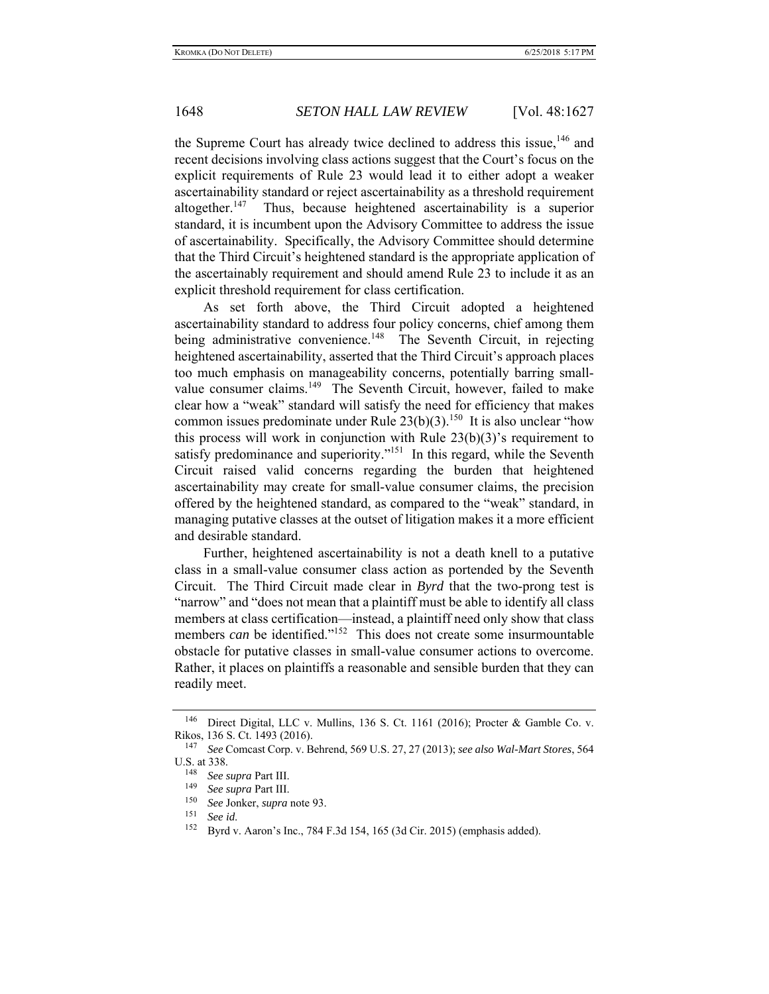the Supreme Court has already twice declined to address this issue,  $146$  and recent decisions involving class actions suggest that the Court's focus on the explicit requirements of Rule 23 would lead it to either adopt a weaker ascertainability standard or reject ascertainability as a threshold requirement altogether. $147$  Thus, because heightened ascertainability is a superior standard, it is incumbent upon the Advisory Committee to address the issue of ascertainability. Specifically, the Advisory Committee should determine that the Third Circuit's heightened standard is the appropriate application of the ascertainably requirement and should amend Rule 23 to include it as an explicit threshold requirement for class certification.

As set forth above, the Third Circuit adopted a heightened ascertainability standard to address four policy concerns, chief among them being administrative convenience.<sup>148</sup> The Seventh Circuit, in rejecting heightened ascertainability, asserted that the Third Circuit's approach places too much emphasis on manageability concerns, potentially barring smallvalue consumer claims.<sup>149</sup> The Seventh Circuit, however, failed to make clear how a "weak" standard will satisfy the need for efficiency that makes common issues predominate under Rule  $23(b)(3)$ .<sup>150</sup> It is also unclear "how this process will work in conjunction with Rule 23(b)(3)'s requirement to satisfy predominance and superiority."<sup>151</sup> In this regard, while the Seventh Circuit raised valid concerns regarding the burden that heightened ascertainability may create for small-value consumer claims, the precision offered by the heightened standard, as compared to the "weak" standard, in managing putative classes at the outset of litigation makes it a more efficient and desirable standard.

Further, heightened ascertainability is not a death knell to a putative class in a small-value consumer class action as portended by the Seventh Circuit. The Third Circuit made clear in *Byrd* that the two-prong test is "narrow" and "does not mean that a plaintiff must be able to identify all class members at class certification—instead, a plaintiff need only show that class members *can* be identified."<sup>152</sup> This does not create some insurmountable obstacle for putative classes in small-value consumer actions to overcome. Rather, it places on plaintiffs a reasonable and sensible burden that they can readily meet.

<sup>146</sup> Direct Digital, LLC v. Mullins, 136 S. Ct. 1161 (2016); Procter & Gamble Co. v. Rikos, 136 S. Ct. 1493 (2016).<br><sup>147</sup> See Compast Corp. v. B

<sup>147</sup> *See* Comcast Corp. v. Behrend, 569 U.S. 27, 27 (2013); *see also Wal-Mart Stores*, 564 U.S. at 338.

<sup>148</sup> *See supra* Part III.

See supra Part III.

<sup>150</sup> *See* Jonker, *supra* note 93.

<sup>151</sup>*See id*. 152 Byrd v. Aaron's Inc., 784 F.3d 154, 165 (3d Cir. 2015) (emphasis added).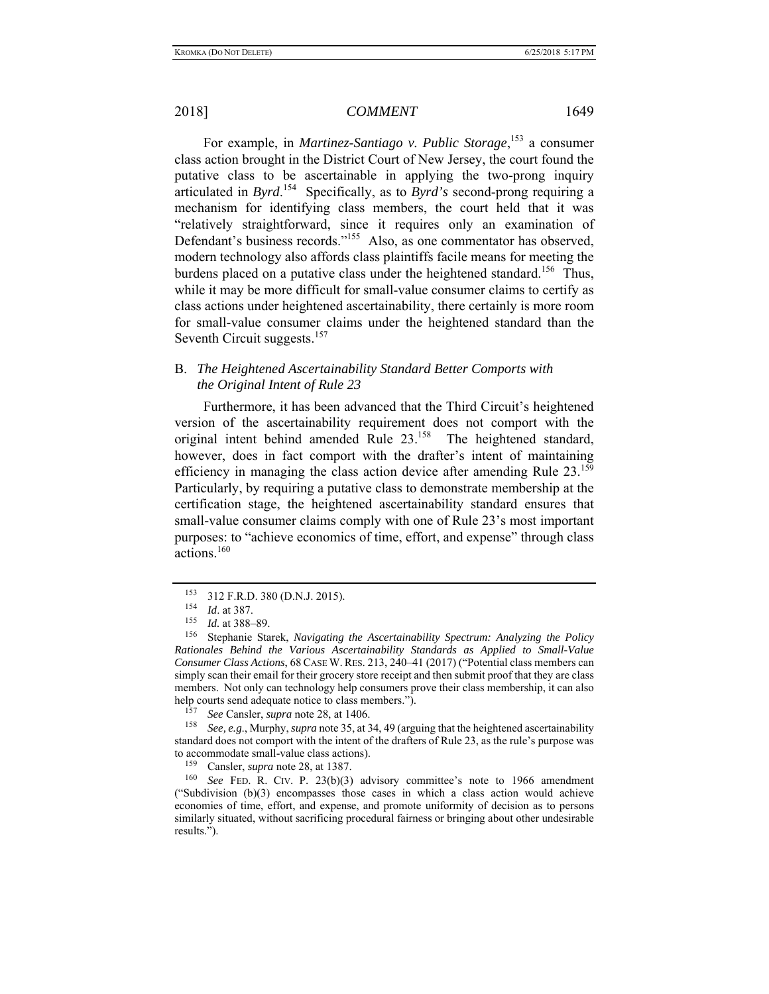For example, in *Martinez-Santiago v. Public Storage*, 153 a consumer class action brought in the District Court of New Jersey, the court found the putative class to be ascertainable in applying the two-prong inquiry articulated in *Byrd*. 154 Specifically, as to *Byrd's* second-prong requiring a mechanism for identifying class members, the court held that it was "relatively straightforward, since it requires only an examination of Defendant's business records."<sup>155</sup> Also, as one commentator has observed, modern technology also affords class plaintiffs facile means for meeting the burdens placed on a putative class under the heightened standard.<sup>156</sup> Thus, while it may be more difficult for small-value consumer claims to certify as class actions under heightened ascertainability, there certainly is more room for small-value consumer claims under the heightened standard than the Seventh Circuit suggests.<sup>157</sup>

# B. *The Heightened Ascertainability Standard Better Comports with the Original Intent of Rule 23*

Furthermore, it has been advanced that the Third Circuit's heightened version of the ascertainability requirement does not comport with the original intent behind amended Rule 23.<sup>158</sup> The heightened standard, however, does in fact comport with the drafter's intent of maintaining efficiency in managing the class action device after amending Rule 23.<sup>159</sup> Particularly, by requiring a putative class to demonstrate membership at the certification stage, the heightened ascertainability standard ensures that small-value consumer claims comply with one of Rule 23's most important purposes: to "achieve economics of time, effort, and expense" through class actions.<sup>160</sup>

158 *See, e.g*., Murphy, *supra* note 35, at 34, 49 (arguing that the heightened ascertainability standard does not comport with the intent of the drafters of Rule 23, as the rule's purpose was to accommodate small-value class actions).<br> $\frac{159}{159}$  Consler, sunra pote 28, et 1387

 $^{153}$  312 F.R.D. 380 (D.N.J. 2015).

 $\frac{154}{155}$  *Id.* at 387.

*Id.* at 388-89.

<sup>156</sup> Stephanie Starek, *Navigating the Ascertainability Spectrum: Analyzing the Policy Rationales Behind the Various Ascertainability Standards as Applied to Small-Value Consumer Class Actions*, 68CASE W. RES. 213, 240–41 (2017) ("Potential class members can simply scan their email for their grocery store receipt and then submit proof that they are class members. Not only can technology help consumers prove their class membership, it can also help courts send adequate notice to class members.").

<sup>&</sup>lt;sup>157</sup> *See* Cansler, *supra* note 28, at 1406.<br><sup>158</sup> *See e.g.* Murphy *supra* note 35 at 3

Cansler, *supra* note 28, at 1387.

<sup>&</sup>lt;sup>160</sup> *See* FED. R. CIV. P. 23(b)(3) advisory committee's note to 1966 amendment ("Subdivision (b)(3) encompasses those cases in which a class action would achieve economies of time, effort, and expense, and promote uniformity of decision as to persons similarly situated, without sacrificing procedural fairness or bringing about other undesirable results.").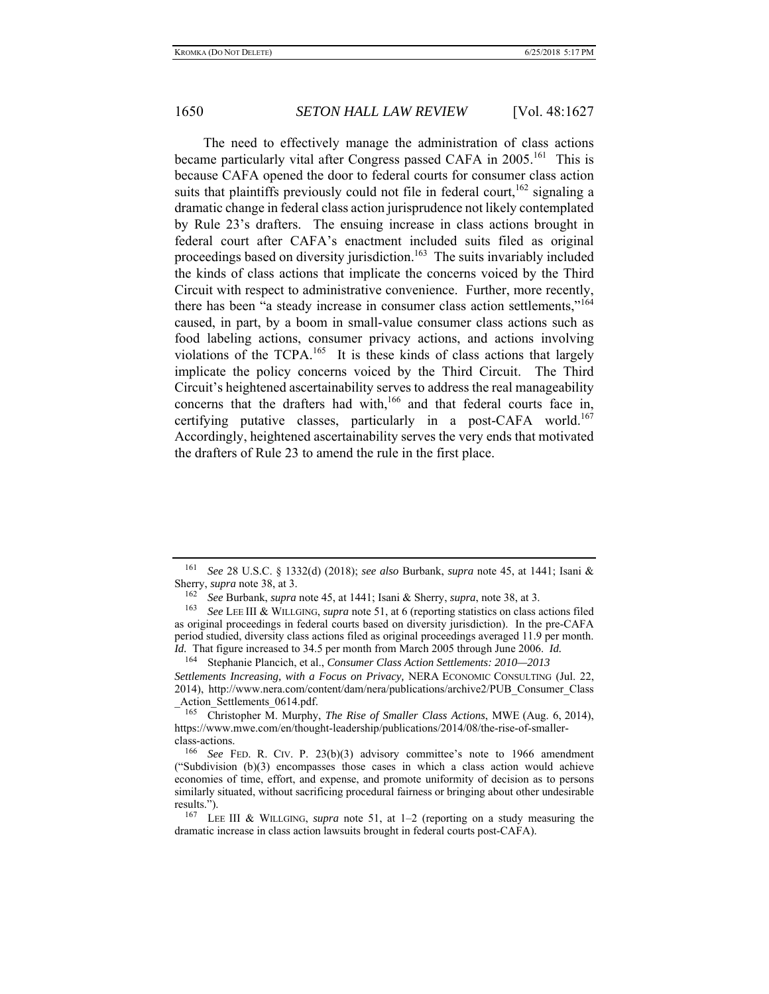The need to effectively manage the administration of class actions became particularly vital after Congress passed CAFA in 2005.<sup>161</sup> This is because CAFA opened the door to federal courts for consumer class action suits that plaintiffs previously could not file in federal court,  $162$  signaling a dramatic change in federal class action jurisprudence not likely contemplated by Rule 23's drafters. The ensuing increase in class actions brought in federal court after CAFA's enactment included suits filed as original proceedings based on diversity jurisdiction.<sup>163</sup> The suits invariably included the kinds of class actions that implicate the concerns voiced by the Third Circuit with respect to administrative convenience. Further, more recently, there has been "a steady increase in consumer class action settlements,"<sup>164</sup> caused, in part, by a boom in small-value consumer class actions such as food labeling actions, consumer privacy actions, and actions involving violations of the TCPA.<sup>165</sup> It is these kinds of class actions that largely implicate the policy concerns voiced by the Third Circuit. The Third Circuit's heightened ascertainability serves to address the real manageability concerns that the drafters had with,<sup>166</sup> and that federal courts face in, certifying putative classes, particularly in a post-CAFA world.<sup>167</sup> Accordingly, heightened ascertainability serves the very ends that motivated the drafters of Rule 23 to amend the rule in the first place.

164 Stephanie Plancich, et al., *Consumer Class Action Settlements: 2010—2013*

*Settlements Increasing, with a Focus on Privacy,* NERA ECONOMIC CONSULTING (Jul. 22, 2014), http://www.nera.com/content/dam/nera/publications/archive2/PUB\_Consumer\_Class  $-\frac{\text{Action}}{165}$ Settlements\_0614.pdf.

<sup>161</sup> *See* 28 U.S.C. § 1332(d) (2018); *see also* Burbank, *supra* note 45, at 1441; Isani & Sherry, *supra* note 38, at 3.

<sup>162</sup> *See* Burbank, *supra* note 45, at 1441; Isani & Sherry, *supra*, note 38, at 3.

<sup>163</sup> *See* LEE III & WILLGING, *supra* note 51, at 6 (reporting statistics on class actions filed as original proceedings in federal courts based on diversity jurisdiction). In the pre-CAFA period studied, diversity class actions filed as original proceedings averaged 11.9 per month. *Id.* That figure increased to 34.5 per month from March 2005 through June 2006. *Id.*

<sup>165</sup> Christopher M. Murphy, *The Rise of Smaller Class Actions*, MWE (Aug. 6, 2014), https://www.mwe.com/en/thought-leadership/publications/2014/08/the-rise-of-smallerclass-actions.

<sup>166</sup> *See* FED. R. CIV. P. 23(b)(3) advisory committee's note to 1966 amendment ("Subdivision (b)(3) encompasses those cases in which a class action would achieve economies of time, effort, and expense, and promote uniformity of decision as to persons similarly situated, without sacrificing procedural fairness or bringing about other undesirable results.").

<sup>167</sup> LEE III & WILLGING, *supra* note 51, at 1–2 (reporting on a study measuring the dramatic increase in class action lawsuits brought in federal courts post-CAFA).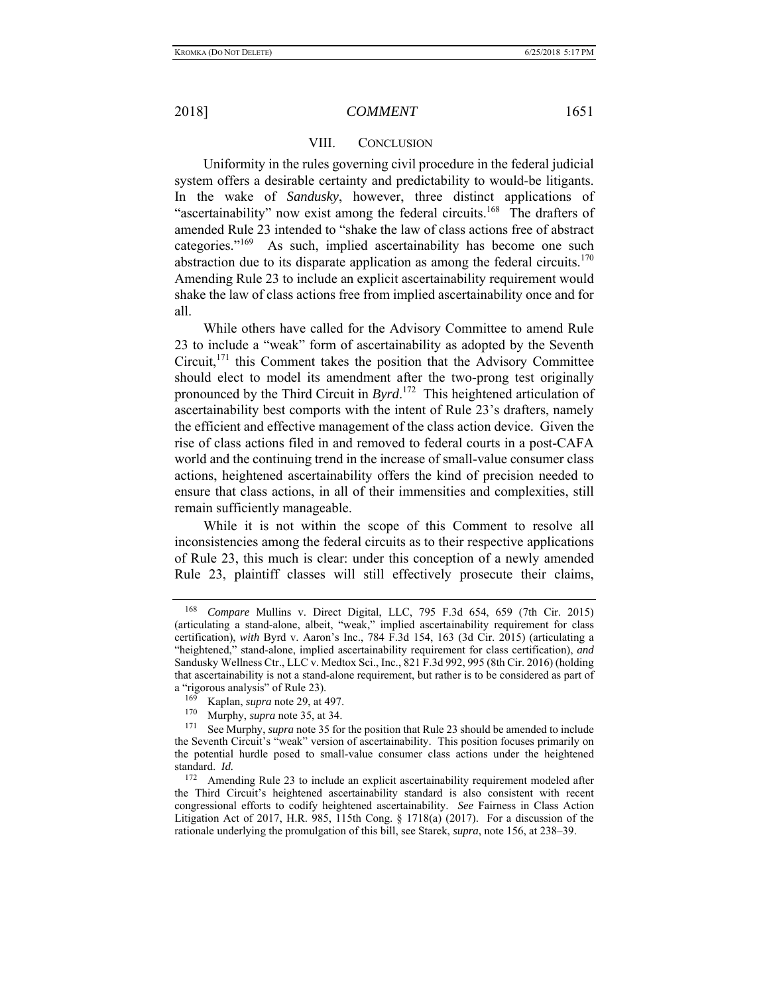#### VIII. CONCLUSION

Uniformity in the rules governing civil procedure in the federal judicial system offers a desirable certainty and predictability to would-be litigants. In the wake of *Sandusky*, however, three distinct applications of "ascertainability" now exist among the federal circuits.<sup>168</sup> The drafters of amended Rule 23 intended to "shake the law of class actions free of abstract categories."169 As such, implied ascertainability has become one such abstraction due to its disparate application as among the federal circuits.<sup>170</sup> Amending Rule 23 to include an explicit ascertainability requirement would shake the law of class actions free from implied ascertainability once and for all.

While others have called for the Advisory Committee to amend Rule 23 to include a "weak" form of ascertainability as adopted by the Seventh Circuit,<sup>171</sup> this Comment takes the position that the Advisory Committee should elect to model its amendment after the two-prong test originally pronounced by the Third Circuit in *Byrd*. 172 This heightened articulation of ascertainability best comports with the intent of Rule 23's drafters, namely the efficient and effective management of the class action device. Given the rise of class actions filed in and removed to federal courts in a post-CAFA world and the continuing trend in the increase of small-value consumer class actions, heightened ascertainability offers the kind of precision needed to ensure that class actions, in all of their immensities and complexities, still remain sufficiently manageable.

While it is not within the scope of this Comment to resolve all inconsistencies among the federal circuits as to their respective applications of Rule 23, this much is clear: under this conception of a newly amended Rule 23, plaintiff classes will still effectively prosecute their claims,

<sup>168</sup> *Compare* Mullins v. Direct Digital, LLC, 795 F.3d 654, 659 (7th Cir. 2015) (articulating a stand-alone, albeit, "weak," implied ascertainability requirement for class certification), *with* Byrd v. Aaron's Inc., 784 F.3d 154, 163 (3d Cir. 2015) (articulating a "heightened," stand-alone, implied ascertainability requirement for class certification), *and* Sandusky Wellness Ctr., LLC v. Medtox Sci., Inc., 821 F.3d 992, 995 (8th Cir. 2016) (holding that ascertainability is not a stand-alone requirement, but rather is to be considered as part of a "rigorous analysis" of Rule 23).

 $^{169}$  Kaplan, *supra* note 29, at 497.<br><sup>170</sup> Murphy, *supra* note 35, at 34.

 $170$  Murphy, *supra* note 35, at 34.

See Murphy, *supra* note 35 for the position that Rule 23 should be amended to include the Seventh Circuit's "weak" version of ascertainability. This position focuses primarily on the potential hurdle posed to small-value consumer class actions under the heightened standard. *Id.*

<sup>&</sup>lt;sup>172</sup> Amending Rule 23 to include an explicit ascertainability requirement modeled after the Third Circuit's heightened ascertainability standard is also consistent with recent congressional efforts to codify heightened ascertainability. *See* Fairness in Class Action Litigation Act of 2017, H.R. 985, 115th Cong.  $\S$  1718(a) (2017). For a discussion of the rationale underlying the promulgation of this bill, see Starek, *supra*, note 156, at 238–39.